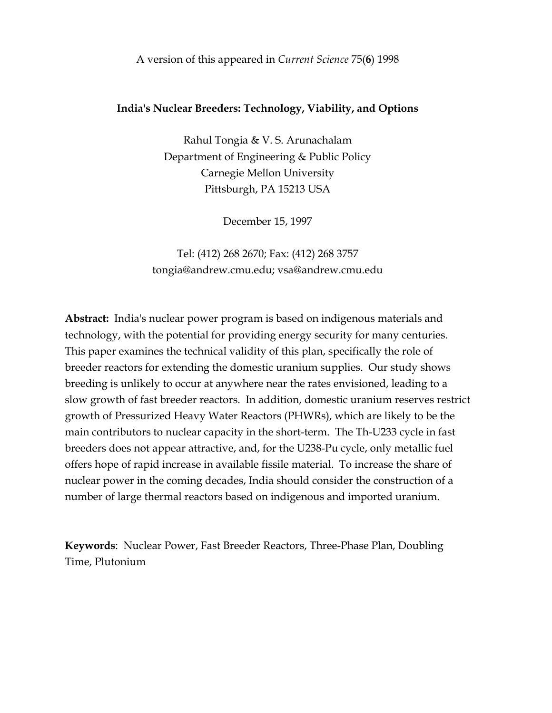A version of this appeared in Current Science 75(6) 1998

### India's Nuclear Breeders: Technology, Viability, and Options

Rahul Tongia & V. S. Arunachalam Department of Engineering & Public Policy Carnegie Mellon University Pittsburgh, PA 15213 USA

December 15, 1997

Tel: (412) 268 2670; Fax: (412) 268 3757 tongia@andrew.cmu.edu; vsa@andrew.cmu.edu

Abstract: India's nuclear power program is based on indigenous materials and technology, with the potential for providing energy security for many centuries. This paper examines the technical validity of this plan, specifically the role of breeder reactors for extending the domestic uranium supplies. Our study shows breeding is unlikely to occur at anywhere near the rates envisioned, leading to a slow growth of fast breeder reactors. In addition, domestic uranium reserves restrict growth of Pressurized Heavy Water Reactors (PHWRs), which are likely to be the main contributors to nuclear capacity in the short-term. The Th-U233 cycle in fast breeders does not appear attractive, and, for the U238-Pu cycle, only metallic fuel offers hope of rapid increase in available fissile material. To increase the share of nuclear power in the coming decades, India should consider the construction of a number of large thermal reactors based on indigenous and imported uranium.

Keywords: Nuclear Power, Fast Breeder Reactors, Three-Phase Plan, Doubling Time, Plutonium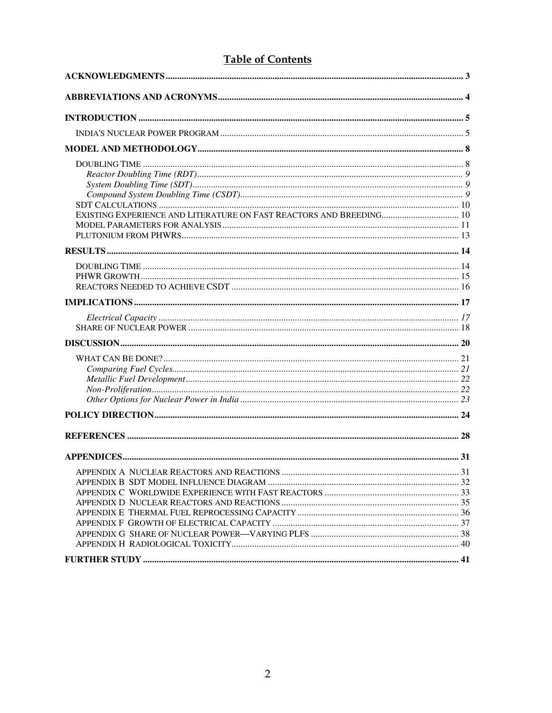# **Table of Contents**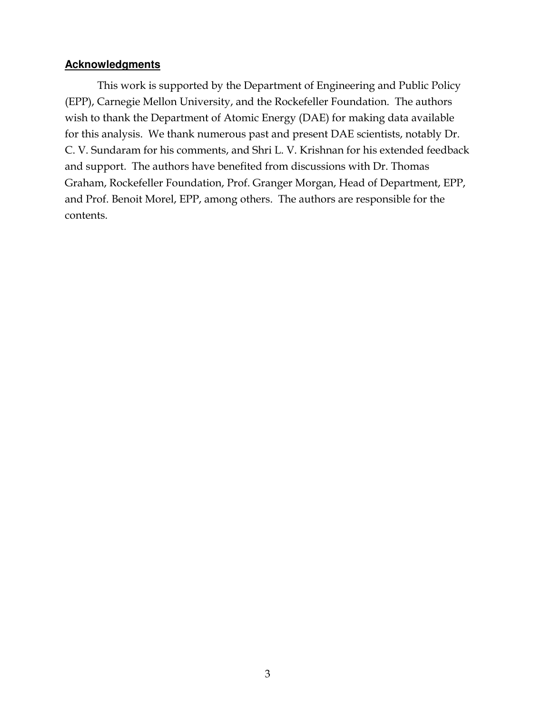# **Acknowledgments**

 This work is supported by the Department of Engineering and Public Policy (EPP), Carnegie Mellon University, and the Rockefeller Foundation. The authors wish to thank the Department of Atomic Energy (DAE) for making data available for this analysis. We thank numerous past and present DAE scientists, notably Dr. C. V. Sundaram for his comments, and Shri L. V. Krishnan for his extended feedback and support. The authors have benefited from discussions with Dr. Thomas Graham, Rockefeller Foundation, Prof. Granger Morgan, Head of Department, EPP, and Prof. Benoit Morel, EPP, among others. The authors are responsible for the contents.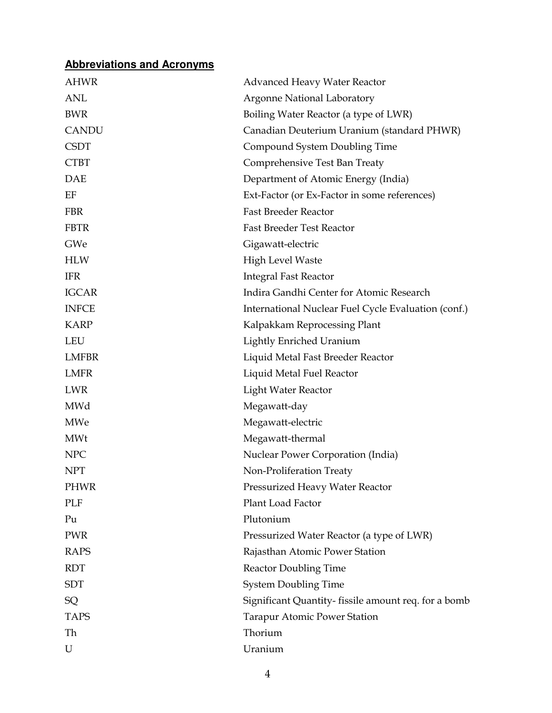# **Abbreviations and Acronyms**

| AHWR         | <b>Advanced Heavy Water Reactor</b>                 |  |
|--------------|-----------------------------------------------------|--|
| <b>ANL</b>   | <b>Argonne National Laboratory</b>                  |  |
| <b>BWR</b>   | Boiling Water Reactor (a type of LWR)               |  |
| <b>CANDU</b> | Canadian Deuterium Uranium (standard PHWR)          |  |
| <b>CSDT</b>  | Compound System Doubling Time                       |  |
| <b>CTBT</b>  | Comprehensive Test Ban Treaty                       |  |
| <b>DAE</b>   | Department of Atomic Energy (India)                 |  |
| EF           | Ext-Factor (or Ex-Factor in some references)        |  |
| <b>FBR</b>   | <b>Fast Breeder Reactor</b>                         |  |
| <b>FBTR</b>  | <b>Fast Breeder Test Reactor</b>                    |  |
| GWe          | Gigawatt-electric                                   |  |
| <b>HLW</b>   | <b>High Level Waste</b>                             |  |
| <b>IFR</b>   | <b>Integral Fast Reactor</b>                        |  |
| <b>IGCAR</b> | Indira Gandhi Center for Atomic Research            |  |
| <b>INFCE</b> | International Nuclear Fuel Cycle Evaluation (conf.) |  |
| <b>KARP</b>  | Kalpakkam Reprocessing Plant                        |  |
| <b>LEU</b>   | <b>Lightly Enriched Uranium</b>                     |  |
| <b>LMFBR</b> | Liquid Metal Fast Breeder Reactor                   |  |
| <b>LMFR</b>  | Liquid Metal Fuel Reactor                           |  |
| <b>LWR</b>   | Light Water Reactor                                 |  |
| MWd          | Megawatt-day                                        |  |
| MWe          | Megawatt-electric                                   |  |
| <b>MWt</b>   | Megawatt-thermal                                    |  |
| <b>NPC</b>   | Nuclear Power Corporation (India)                   |  |
| <b>NPT</b>   | Non-Proliferation Treaty                            |  |
| <b>PHWR</b>  | Pressurized Heavy Water Reactor                     |  |
| PLF          | Plant Load Factor                                   |  |
| Pu           | Plutonium                                           |  |
| <b>PWR</b>   | Pressurized Water Reactor (a type of LWR)           |  |
| <b>RAPS</b>  | Rajasthan Atomic Power Station                      |  |
| <b>RDT</b>   | <b>Reactor Doubling Time</b>                        |  |
| <b>SDT</b>   | <b>System Doubling Time</b>                         |  |
| SQ           | Significant Quantity-fissile amount req. for a bomb |  |
| <b>TAPS</b>  | <b>Tarapur Atomic Power Station</b>                 |  |
| Th           | Thorium                                             |  |
| U            | Uranium                                             |  |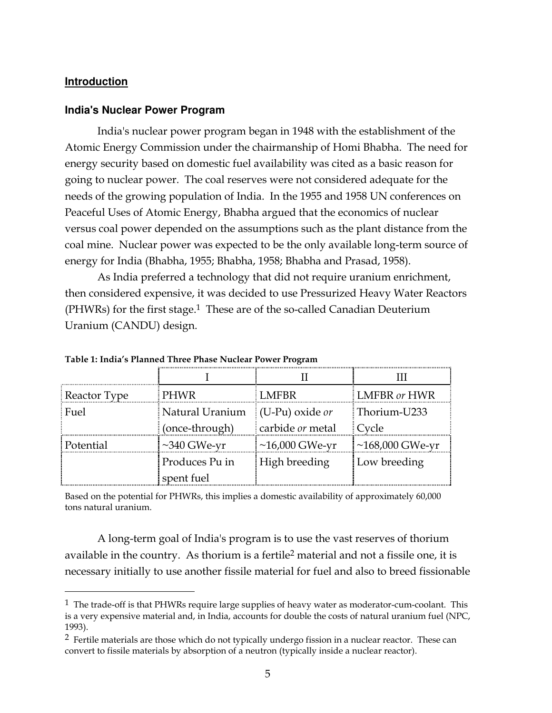### **Introduction**

 $\overline{a}$ 

#### **India's Nuclear Power Program**

 India's nuclear power program began in 1948 with the establishment of the Atomic Energy Commission under the chairmanship of Homi Bhabha. The need for energy security based on domestic fuel availability was cited as a basic reason for going to nuclear power. The coal reserves were not considered adequate for the needs of the growing population of India. In the 1955 and 1958 UN conferences on Peaceful Uses of Atomic Energy, Bhabha argued that the economics of nuclear versus coal power depended on the assumptions such as the plant distance from the coal mine. Nuclear power was expected to be the only available long-term source of energy for India (Bhabha, 1955; Bhabha, 1958; Bhabha and Prasad, 1958).

 As India preferred a technology that did not require uranium enrichment, then considered expensive, it was decided to use Pressurized Heavy Water Reactors (PHWRs) for the first stage.<sup>1</sup> These are of the so-called Canadian Deuterium Uranium (CANDU) design.

| <b>Reactor Type</b> | PHWR              | LMFBR.            | <b>LMFBR</b> or HWR |
|---------------------|-------------------|-------------------|---------------------|
| Fuel                | Natural Uranium   | $(U-Pu)$ oxide or | Thorium-U233        |
|                     | (once-through)    | carbide or metal  | : Cycle             |
| Potential           | $\sim$ 340 GWe-yr | $~16,000$ GWe-yr  | ~168,000 GWe-yr     |
|                     | Produces Pu in    | High breeding     | Low breeding        |
|                     | spent fuel        |                   |                     |

Table 1: India's Planned Three Phase Nuclear Power Program

Based on the potential for PHWRs, this implies a domestic availability of approximately 60,000 tons natural uranium.

 A long-term goal of India's program is to use the vast reserves of thorium available in the country. As thorium is a fertile2 material and not a fissile one, it is necessary initially to use another fissile material for fuel and also to breed fissionable

 $<sup>1</sup>$  The trade-off is that PHWRs require large supplies of heavy water as moderator-cum-coolant. This</sup> is a very expensive material and, in India, accounts for double the costs of natural uranium fuel (NPC, 1993).

<sup>&</sup>lt;sup>2</sup> Fertile materials are those which do not typically undergo fission in a nuclear reactor. These can convert to fissile materials by absorption of a neutron (typically inside a nuclear reactor).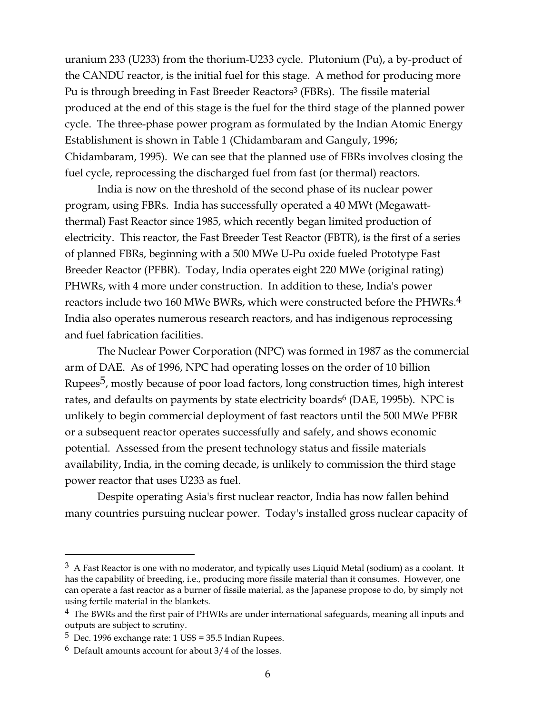uranium 233 (U233) from the thorium-U233 cycle. Plutonium (Pu), a by-product of the CANDU reactor, is the initial fuel for this stage. A method for producing more Pu is through breeding in Fast Breeder Reactors<sup>3</sup> (FBRs). The fissile material produced at the end of this stage is the fuel for the third stage of the planned power cycle. The three-phase power program as formulated by the Indian Atomic Energy Establishment is shown in Table 1 (Chidambaram and Ganguly, 1996; Chidambaram, 1995). We can see that the planned use of FBRs involves closing the fuel cycle, reprocessing the discharged fuel from fast (or thermal) reactors.

 India is now on the threshold of the second phase of its nuclear power program, using FBRs. India has successfully operated a 40 MWt (Megawattthermal) Fast Reactor since 1985, which recently began limited production of electricity. This reactor, the Fast Breeder Test Reactor (FBTR), is the first of a series of planned FBRs, beginning with a 500 MWe U-Pu oxide fueled Prototype Fast Breeder Reactor (PFBR). Today, India operates eight 220 MWe (original rating) PHWRs, with 4 more under construction. In addition to these, India's power reactors include two 160 MWe BWRs, which were constructed before the PHWRs.<sup>4</sup> India also operates numerous research reactors, and has indigenous reprocessing and fuel fabrication facilities.

 The Nuclear Power Corporation (NPC) was formed in 1987 as the commercial arm of DAE. As of 1996, NPC had operating losses on the order of 10 billion Rupees<sup>5</sup>, mostly because of poor load factors, long construction times, high interest rates, and defaults on payments by state electricity boards<sup>6</sup> (DAE, 1995b). NPC is unlikely to begin commercial deployment of fast reactors until the 500 MWe PFBR or a subsequent reactor operates successfully and safely, and shows economic potential. Assessed from the present technology status and fissile materials availability, India, in the coming decade, is unlikely to commission the third stage power reactor that uses U233 as fuel.

 Despite operating Asia's first nuclear reactor, India has now fallen behind many countries pursuing nuclear power. Today's installed gross nuclear capacity of

 $3\,$  A Fast Reactor is one with no moderator, and typically uses Liquid Metal (sodium) as a coolant. It has the capability of breeding, i.e., producing more fissile material than it consumes. However, one can operate a fast reactor as a burner of fissile material, as the Japanese propose to do, by simply not using fertile material in the blankets.

 $4$  The BWRs and the first pair of PHWRs are under international safeguards, meaning all inputs and outputs are subject to scrutiny.

 $5$  Dec. 1996 exchange rate: 1 US\$ = 35.5 Indian Rupees.

<sup>6</sup> Default amounts account for about 3/4 of the losses.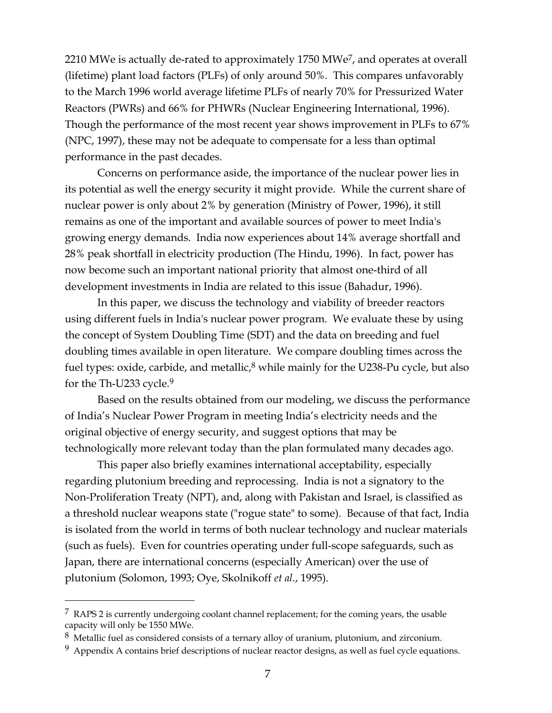2210 MWe is actually de-rated to approximately 1750 MWe<sup>7</sup>, and operates at overall (lifetime) plant load factors (PLFs) of only around 50%. This compares unfavorably to the March 1996 world average lifetime PLFs of nearly 70% for Pressurized Water Reactors (PWRs) and 66% for PHWRs (Nuclear Engineering International, 1996). Though the performance of the most recent year shows improvement in PLFs to 67% (NPC, 1997), these may not be adequate to compensate for a less than optimal performance in the past decades.

 Concerns on performance aside, the importance of the nuclear power lies in its potential as well the energy security it might provide. While the current share of nuclear power is only about 2% by generation (Ministry of Power, 1996), it still remains as one of the important and available sources of power to meet India's growing energy demands. India now experiences about 14% average shortfall and 28% peak shortfall in electricity production (The Hindu, 1996). In fact, power has now become such an important national priority that almost one-third of all development investments in India are related to this issue (Bahadur, 1996).

 In this paper, we discuss the technology and viability of breeder reactors using different fuels in India's nuclear power program. We evaluate these by using the concept of System Doubling Time (SDT) and the data on breeding and fuel doubling times available in open literature. We compare doubling times across the fuel types: oxide, carbide, and metallic, $8$  while mainly for the U238-Pu cycle, but also for the Th-U233 cycle.9

 Based on the results obtained from our modeling, we discuss the performance of India's Nuclear Power Program in meeting India's electricity needs and the original objective of energy security, and suggest options that may be technologically more relevant today than the plan formulated many decades ago.

 This paper also briefly examines international acceptability, especially regarding plutonium breeding and reprocessing. India is not a signatory to the Non-Proliferation Treaty (NPT), and, along with Pakistan and Israel, is classified as a threshold nuclear weapons state ("rogue state" to some). Because of that fact, India is isolated from the world in terms of both nuclear technology and nuclear materials (such as fuels). Even for countries operating under full-scope safeguards, such as Japan, there are international concerns (especially American) over the use of plutonium (Solomon, 1993; Oye, Skolnikoff et al., 1995).

 $7$  RAPS 2 is currently undergoing coolant channel replacement; for the coming years, the usable capacity will only be 1550 MWe.

 $8\,$  Metallic fuel as considered consists of a ternary alloy of uranium, plutonium, and zirconium.

 $9$  Appendix A contains brief descriptions of nuclear reactor designs, as well as fuel cycle equations.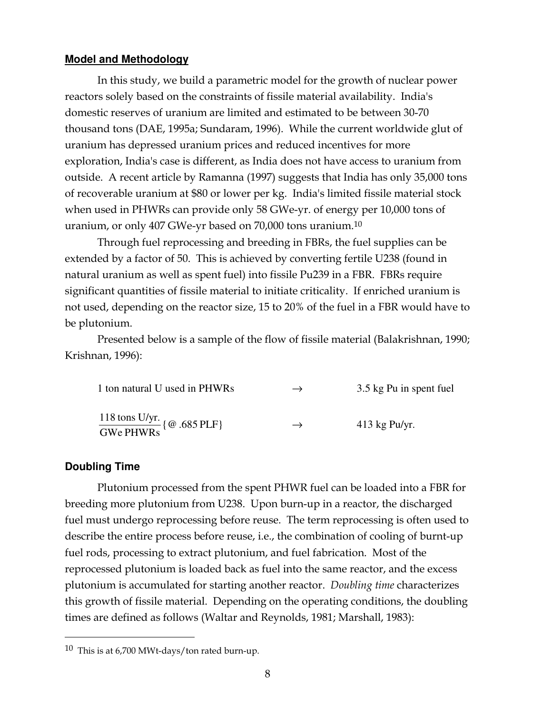#### **Model and Methodology**

 In this study, we build a parametric model for the growth of nuclear power reactors solely based on the constraints of fissile material availability. India's domestic reserves of uranium are limited and estimated to be between 30-70 thousand tons (DAE, 1995a; Sundaram, 1996). While the current worldwide glut of uranium has depressed uranium prices and reduced incentives for more exploration, India's case is different, as India does not have access to uranium from outside. A recent article by Ramanna (1997) suggests that India has only 35,000 tons of recoverable uranium at \$80 or lower per kg. India's limited fissile material stock when used in PHWRs can provide only 58 GWe-yr. of energy per 10,000 tons of uranium, or only 407 GWe-yr based on 70,000 tons uranium.10

 Through fuel reprocessing and breeding in FBRs, the fuel supplies can be extended by a factor of 50. This is achieved by converting fertile U238 (found in natural uranium as well as spent fuel) into fissile Pu239 in a FBR. FBRs require significant quantities of fissile material to initiate criticality. If enriched uranium is not used, depending on the reactor size, 15 to 20% of the fuel in a FBR would have to be plutonium.

 Presented below is a sample of the flow of fissile material (Balakrishnan, 1990; Krishnan, 1996):

| 1 ton natural U used in PHWRs                                    | $\rightarrow$ | 3.5 kg Pu in spent fuel |
|------------------------------------------------------------------|---------------|-------------------------|
| $\frac{118 \text{ tons U/yr.}}{\text{GWe PHWRs}}$ { @ .685 PLF } | $\rightarrow$ | $413$ kg Pu/yr.         |

#### **Doubling Time**

 $\overline{a}$ 

 Plutonium processed from the spent PHWR fuel can be loaded into a FBR for breeding more plutonium from U238. Upon burn-up in a reactor, the discharged fuel must undergo reprocessing before reuse. The term reprocessing is often used to describe the entire process before reuse, i.e., the combination of cooling of burnt-up fuel rods, processing to extract plutonium, and fuel fabrication. Most of the reprocessed plutonium is loaded back as fuel into the same reactor, and the excess plutonium is accumulated for starting another reactor. Doubling time characterizes this growth of fissile material. Depending on the operating conditions, the doubling times are defined as follows (Waltar and Reynolds, 1981; Marshall, 1983):

<sup>10</sup> This is at 6,700 MWt-days/ton rated burn-up.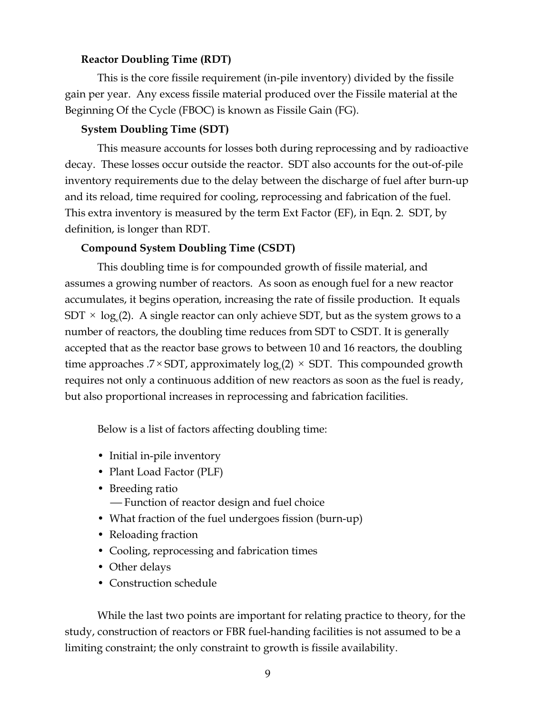# Reactor Doubling Time (RDT)

 This is the core fissile requirement (in-pile inventory) divided by the fissile gain per year. Any excess fissile material produced over the Fissile material at the Beginning Of the Cycle (FBOC) is known as Fissile Gain (FG).

# System Doubling Time (SDT)

 This measure accounts for losses both during reprocessing and by radioactive decay. These losses occur outside the reactor. SDT also accounts for the out-of-pile inventory requirements due to the delay between the discharge of fuel after burn-up and its reload, time required for cooling, reprocessing and fabrication of the fuel. This extra inventory is measured by the term Ext Factor (EF), in Eqn. 2. SDT, by definition, is longer than RDT.

#### Compound System Doubling Time (CSDT)

 This doubling time is for compounded growth of fissile material, and assumes a growing number of reactors. As soon as enough fuel for a new reactor accumulates, it begins operation, increasing the rate of fissile production. It equals  $\mathrm{SDT} \times \log_{\mathrm{e}}(2).$  A single reactor can only achieve SDT, but as the system grows to a number of reactors, the doubling time reduces from SDT to CSDT. It is generally accepted that as the reactor base grows to between 10 and 16 reactors, the doubling time approaches .7  $\times$  SDT, approximately log<sub>e</sub>(2)  $\times$  SDT. This compounded growth requires not only a continuous addition of new reactors as soon as the fuel is ready, but also proportional increases in reprocessing and fabrication facilities.

Below is a list of factors affecting doubling time:

- Initial in-pile inventory
- Plant Load Factor (PLF)
- Breeding ratio Function of reactor design and fuel choice
- What fraction of the fuel undergoes fission (burn-up)
- Reloading fraction
- Cooling, reprocessing and fabrication times
- Other delays
- Construction schedule

 While the last two points are important for relating practice to theory, for the study, construction of reactors or FBR fuel-handing facilities is not assumed to be a limiting constraint; the only constraint to growth is fissile availability.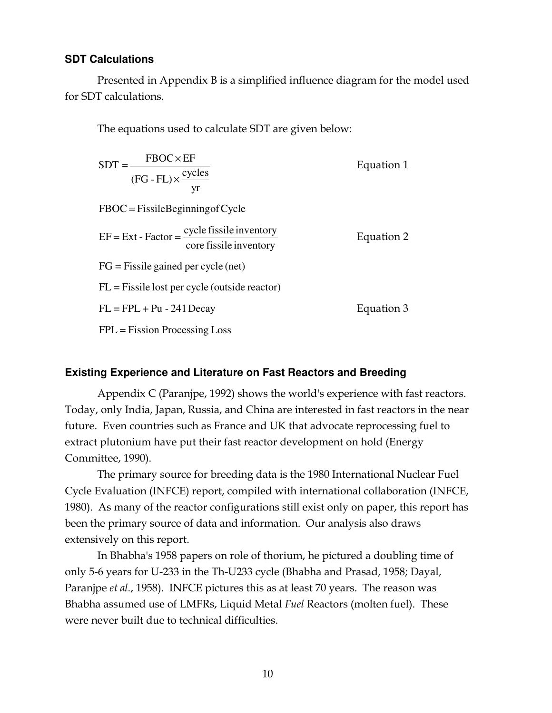# **SDT Calculations**

 Presented in Appendix B is a simplified influence diagram for the model used for SDT calculations.

The equations used to calculate SDT are given below:

| $SDT = \frac{FBOC \times EF}{(FG - FL) \times \frac{cycles}{yr}}$                        | Equation 1 |
|------------------------------------------------------------------------------------------|------------|
| $FBOC = FissileBeginning of Cycle$                                                       |            |
| $EF = Ext - Factor = \frac{cycle \, fissile \, invertary}{core \, fissile \, invertary}$ | Equation 2 |
| $FG = Fissile gained per cycle (net)$                                                    |            |
| $FL = Fissile lost per cycle (outside reactor)$                                          |            |
| $FL = FPL + Pu - 241$ Decay                                                              | Equation 3 |
| $FPL = Fission Processing Loss$                                                          |            |

# **Existing Experience and Literature on Fast Reactors and Breeding**

 Appendix C (Paranjpe, 1992) shows the world's experience with fast reactors. Today, only India, Japan, Russia, and China are interested in fast reactors in the near future. Even countries such as France and UK that advocate reprocessing fuel to extract plutonium have put their fast reactor development on hold (Energy Committee, 1990).

 The primary source for breeding data is the 1980 International Nuclear Fuel Cycle Evaluation (INFCE) report, compiled with international collaboration (INFCE, 1980). As many of the reactor configurations still exist only on paper, this report has been the primary source of data and information. Our analysis also draws extensively on this report.

 In Bhabha's 1958 papers on role of thorium, he pictured a doubling time of only 5-6 years for U-233 in the Th-U233 cycle (Bhabha and Prasad, 1958; Dayal, Paranjpe et al., 1958). INFCE pictures this as at least 70 years. The reason was Bhabha assumed use of LMFRs, Liquid Metal Fuel Reactors (molten fuel). These were never built due to technical difficulties.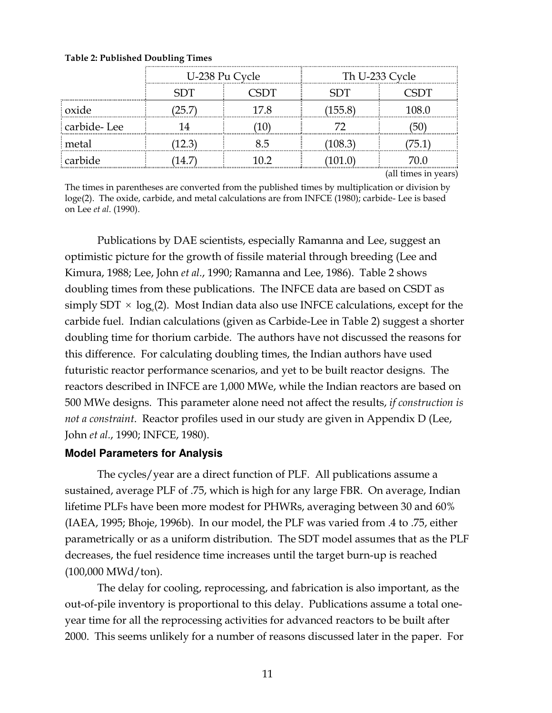|             | U-238 Pu Cycle     |  | Th U-233 Cycle          |  |
|-------------|--------------------|--|-------------------------|--|
|             |                    |  | ĐT                      |  |
| oxide       | $\overline{1}$<br> |  | 155.8<br><br>           |  |
| carbide-Lee |                    |  |                         |  |
| metal<br>   |                    |  | $\langle 108.3 \rangle$ |  |
| carbide<br> |                    |  |                         |  |

Table 2: Published Doubling Times

(all times in years)

The times in parentheses are converted from the published times by multiplication or division by loge(2). The oxide, carbide, and metal calculations are from INFCE (1980); carbide- Lee is based on Lee et al. (1990).

 Publications by DAE scientists, especially Ramanna and Lee, suggest an optimistic picture for the growth of fissile material through breeding (Lee and Kimura, 1988; Lee, John et al., 1990; Ramanna and Lee, 1986). Table 2 shows doubling times from these publications. The INFCE data are based on CSDT as simply SDT  $\times$  log<sub>e</sub>(2). Most Indian data also use INFCE calculations, except for the carbide fuel. Indian calculations (given as Carbide-Lee in Table 2) suggest a shorter doubling time for thorium carbide. The authors have not discussed the reasons for this difference. For calculating doubling times, the Indian authors have used futuristic reactor performance scenarios, and yet to be built reactor designs. The reactors described in INFCE are 1,000 MWe, while the Indian reactors are based on 500 MWe designs. This parameter alone need not affect the results, if construction is not a constraint. Reactor profiles used in our study are given in Appendix D (Lee, John et al., 1990; INFCE, 1980).

# **Model Parameters for Analysis**

 The cycles/year are a direct function of PLF. All publications assume a sustained, average PLF of .75, which is high for any large FBR. On average, Indian lifetime PLFs have been more modest for PHWRs, averaging between 30 and 60% (IAEA, 1995; Bhoje, 1996b). In our model, the PLF was varied from .4 to .75, either parametrically or as a uniform distribution. The SDT model assumes that as the PLF decreases, the fuel residence time increases until the target burn-up is reached (100,000 MWd/ton).

 The delay for cooling, reprocessing, and fabrication is also important, as the out-of-pile inventory is proportional to this delay. Publications assume a total oneyear time for all the reprocessing activities for advanced reactors to be built after 2000. This seems unlikely for a number of reasons discussed later in the paper. For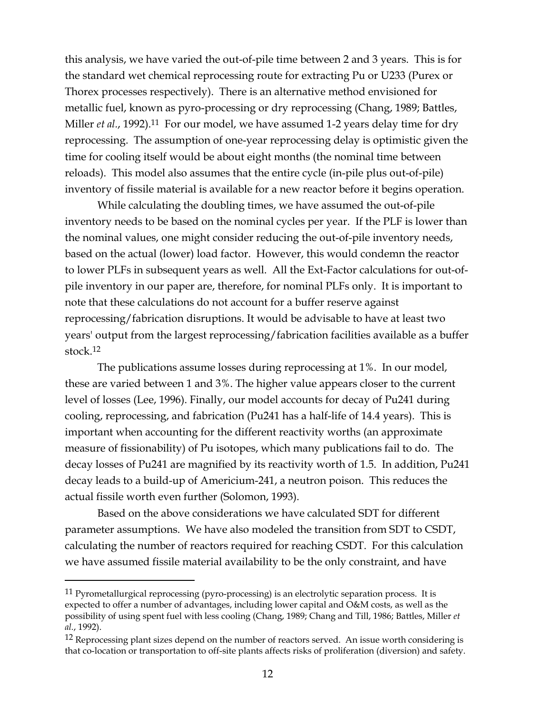this analysis, we have varied the out-of-pile time between 2 and 3 years. This is for the standard wet chemical reprocessing route for extracting Pu or U233 (Purex or Thorex processes respectively). There is an alternative method envisioned for metallic fuel, known as pyro-processing or dry reprocessing (Chang, 1989; Battles, Miller *et al.*, 1992).<sup>11</sup> For our model, we have assumed 1-2 years delay time for dry reprocessing. The assumption of one-year reprocessing delay is optimistic given the time for cooling itself would be about eight months (the nominal time between reloads). This model also assumes that the entire cycle (in-pile plus out-of-pile) inventory of fissile material is available for a new reactor before it begins operation.

 While calculating the doubling times, we have assumed the out-of-pile inventory needs to be based on the nominal cycles per year. If the PLF is lower than the nominal values, one might consider reducing the out-of-pile inventory needs, based on the actual (lower) load factor. However, this would condemn the reactor to lower PLFs in subsequent years as well. All the Ext-Factor calculations for out-ofpile inventory in our paper are, therefore, for nominal PLFs only. It is important to note that these calculations do not account for a buffer reserve against reprocessing/fabrication disruptions. It would be advisable to have at least two years' output from the largest reprocessing/fabrication facilities available as a buffer stock.12

 The publications assume losses during reprocessing at 1%. In our model, these are varied between 1 and 3%. The higher value appears closer to the current level of losses (Lee, 1996). Finally, our model accounts for decay of Pu241 during cooling, reprocessing, and fabrication (Pu241 has a half-life of 14.4 years). This is important when accounting for the different reactivity worths (an approximate measure of fissionability) of Pu isotopes, which many publications fail to do. The decay losses of Pu241 are magnified by its reactivity worth of 1.5. In addition, Pu241 decay leads to a build-up of Americium-241, a neutron poison. This reduces the actual fissile worth even further (Solomon, 1993).

 Based on the above considerations we have calculated SDT for different parameter assumptions. We have also modeled the transition from SDT to CSDT, calculating the number of reactors required for reaching CSDT. For this calculation we have assumed fissile material availability to be the only constraint, and have

<sup>&</sup>lt;sup>11</sup> Pyrometallurgical reprocessing (pyro-processing) is an electrolytic separation process. It is expected to offer a number of advantages, including lower capital and O&M costs, as well as the possibility of using spent fuel with less cooling (Chang, 1989; Chang and Till, 1986; Battles, Miller et al., 1992).

<sup>&</sup>lt;sup>12</sup> Reprocessing plant sizes depend on the number of reactors served. An issue worth considering is that co-location or transportation to off-site plants affects risks of proliferation (diversion) and safety.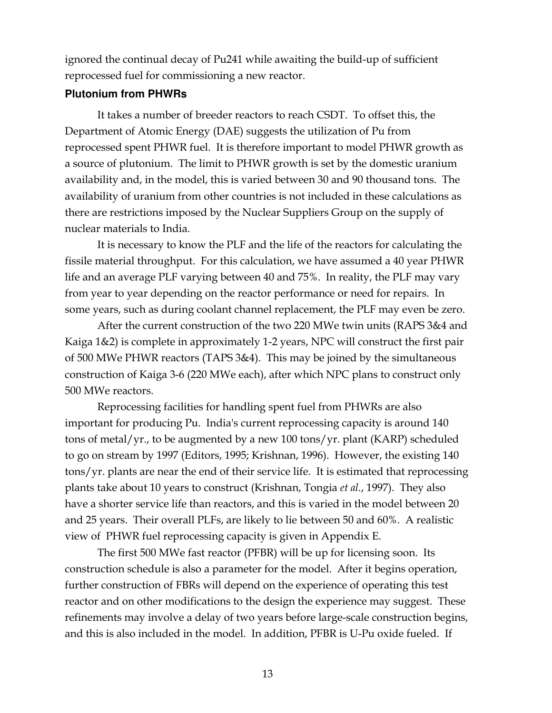ignored the continual decay of Pu241 while awaiting the build-up of sufficient reprocessed fuel for commissioning a new reactor.

# **Plutonium from PHWRs**

 It takes a number of breeder reactors to reach CSDT. To offset this, the Department of Atomic Energy (DAE) suggests the utilization of Pu from reprocessed spent PHWR fuel. It is therefore important to model PHWR growth as a source of plutonium. The limit to PHWR growth is set by the domestic uranium availability and, in the model, this is varied between 30 and 90 thousand tons. The availability of uranium from other countries is not included in these calculations as there are restrictions imposed by the Nuclear Suppliers Group on the supply of nuclear materials to India.

 It is necessary to know the PLF and the life of the reactors for calculating the fissile material throughput. For this calculation, we have assumed a 40 year PHWR life and an average PLF varying between 40 and 75%. In reality, the PLF may vary from year to year depending on the reactor performance or need for repairs. In some years, such as during coolant channel replacement, the PLF may even be zero.

 After the current construction of the two 220 MWe twin units (RAPS 3&4 and Kaiga 1&2) is complete in approximately 1-2 years, NPC will construct the first pair of 500 MWe PHWR reactors (TAPS 3&4). This may be joined by the simultaneous construction of Kaiga 3-6 (220 MWe each), after which NPC plans to construct only 500 MWe reactors.

 Reprocessing facilities for handling spent fuel from PHWRs are also important for producing Pu. India's current reprocessing capacity is around 140 tons of metal/yr., to be augmented by a new 100 tons/yr. plant (KARP) scheduled to go on stream by 1997 (Editors, 1995; Krishnan, 1996). However, the existing 140 tons/yr. plants are near the end of their service life. It is estimated that reprocessing plants take about 10 years to construct (Krishnan, Tongia et al., 1997). They also have a shorter service life than reactors, and this is varied in the model between 20 and 25 years. Their overall PLFs, are likely to lie between 50 and 60%. A realistic view of PHWR fuel reprocessing capacity is given in Appendix E.

 The first 500 MWe fast reactor (PFBR) will be up for licensing soon. Its construction schedule is also a parameter for the model. After it begins operation, further construction of FBRs will depend on the experience of operating this test reactor and on other modifications to the design the experience may suggest. These refinements may involve a delay of two years before large-scale construction begins, and this is also included in the model. In addition, PFBR is U-Pu oxide fueled. If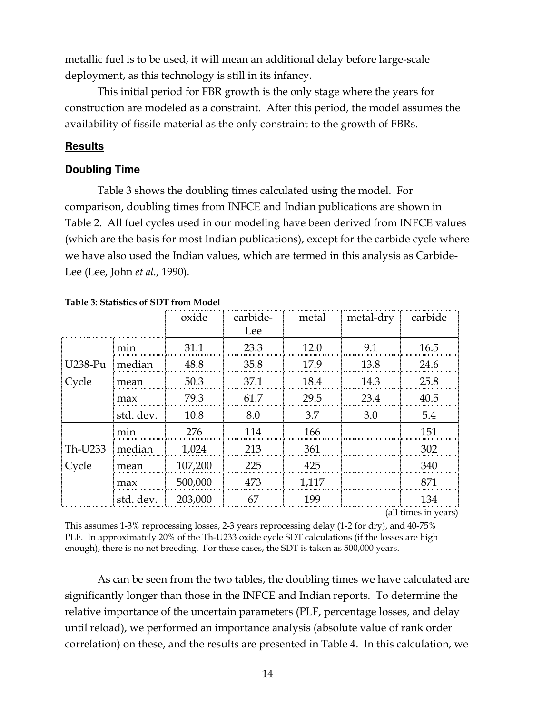metallic fuel is to be used, it will mean an additional delay before large-scale deployment, as this technology is still in its infancy.

 This initial period for FBR growth is the only stage where the years for construction are modeled as a constraint. After this period, the model assumes the availability of fissile material as the only constraint to the growth of FBRs.

# **Results**

# **Doubling Time**

 Table 3 shows the doubling times calculated using the model. For comparison, doubling times from INFCE and Indian publications are shown in Table 2. All fuel cycles used in our modeling have been derived from INFCE values (which are the basis for most Indian publications), except for the carbide cycle where we have also used the Indian values, which are termed in this analysis as Carbide-Lee (Lee, John et al., 1990).

|         |           | oxide   | carbide-<br>Lee | metal | metal-dry carbide |      |
|---------|-----------|---------|-----------------|-------|-------------------|------|
|         |           |         |                 |       |                   |      |
|         | mnn       | 31 1    | 23.3            |       | 91                | 16.5 |
| U238-Pu | median    | 48.8    | 35.8            | 179   | 13.8              | 24.6 |
| Cycle   | mean      | 50.3    | 37.1            | 18.4  | 14.3              | 25.8 |
|         | max       | 79.3    | 617             | 29.5  | 23.4              | 40.5 |
|         | std. dev. | 10.8    | 8.0             | 3.7   | 3.0               | 5.4  |
|         | mın       | 276     |                 | 166   |                   | 151  |
| Th-U233 | median    | 1.024   | 213             | 361   |                   | 302  |
| Cycle   | mean      | 107,200 | 225             | 425   |                   | 340  |
|         | max       | 500,000 |                 | 1,117 |                   |      |
|         | std. dev. | 203,000 | 67              | 199   |                   |      |

#### Table 3: Statistics of SDT from Model

(all times in years)

This assumes 1-3% reprocessing losses, 2-3 years reprocessing delay (1-2 for dry), and 40-75% PLF. In approximately 20% of the Th-U233 oxide cycle SDT calculations (if the losses are high enough), there is no net breeding. For these cases, the SDT is taken as 500,000 years.

 As can be seen from the two tables, the doubling times we have calculated are significantly longer than those in the INFCE and Indian reports. To determine the relative importance of the uncertain parameters (PLF, percentage losses, and delay until reload), we performed an importance analysis (absolute value of rank order correlation) on these, and the results are presented in Table 4. In this calculation, we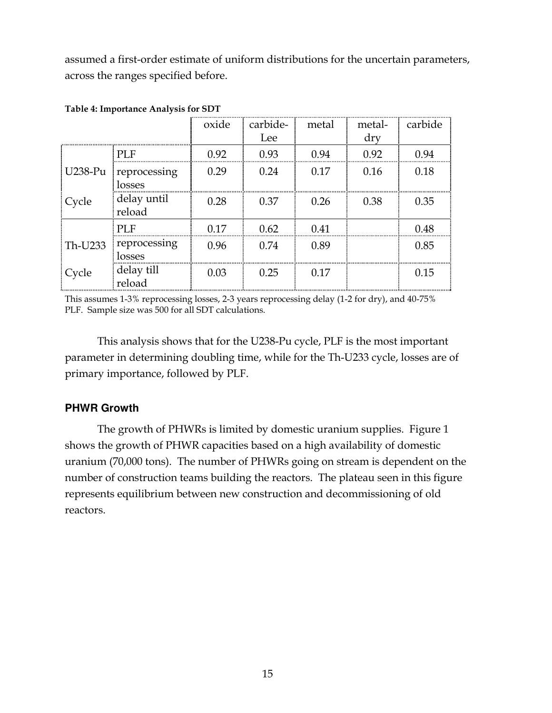assumed a first-order estimate of uniform distributions for the uncertain parameters, across the ranges specified before.

|         |                        | oxide | carbide-<br>Lee | metal | metal-<br>dry | carbide |
|---------|------------------------|-------|-----------------|-------|---------------|---------|
|         |                        |       |                 |       |               |         |
|         | PLF                    | 0.92  | 0.93            | 0.94  | 0.92          | 0.94    |
| U238-Pu | reprocessing<br>losses | 0.29  | 0.24            | 0.17  | 0.16          | 0.18    |
| Cycle   | delay until<br>reload  | 0.28  | 0.37            | 0.26  | 0.38          | 0.35    |
|         | PLF                    | በ 17  | 0.62            | 0.41  |               | 0.48    |
| Th-U233 | reprocessing<br>losses | 0.96  | 0.74            | 0.89  |               | 0.85    |
| Cycle   | delay till<br>reload   | 0.03  | 0.25            | 0.17  |               | 0.15    |

#### Table 4: Importance Analysis for SDT

This assumes 1-3% reprocessing losses, 2-3 years reprocessing delay (1-2 for dry), and 40-75% PLF. Sample size was 500 for all SDT calculations.

 This analysis shows that for the U238-Pu cycle, PLF is the most important parameter in determining doubling time, while for the Th-U233 cycle, losses are of primary importance, followed by PLF.

# **PHWR Growth**

 The growth of PHWRs is limited by domestic uranium supplies. Figure 1 shows the growth of PHWR capacities based on a high availability of domestic uranium (70,000 tons). The number of PHWRs going on stream is dependent on the number of construction teams building the reactors. The plateau seen in this figure represents equilibrium between new construction and decommissioning of old reactors.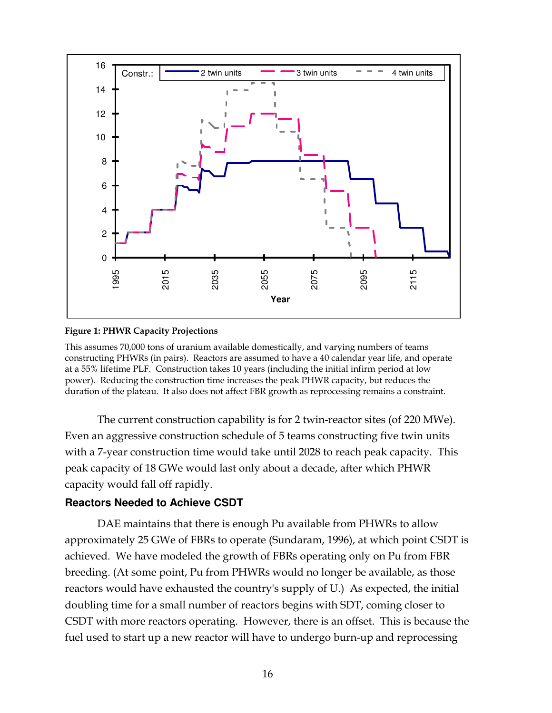

#### Figure 1: PHWR Capacity Projections

This assumes 70,000 tons of uranium available domestically, and varying numbers of teams constructing PHWRs (in pairs). Reactors are assumed to have a 40 calendar year life, and operate at a 55% lifetime PLF. Construction takes 10 years (including the initial infirm period at low power). Reducing the construction time increases the peak PHWR capacity, but reduces the duration of the plateau. It also does not affect FBR growth as reprocessing remains a constraint.

 The current construction capability is for 2 twin-reactor sites (of 220 MWe). Even an aggressive construction schedule of 5 teams constructing five twin units with a 7-year construction time would take until 2028 to reach peak capacity. This peak capacity of 18 GWe would last only about a decade, after which PHWR capacity would fall off rapidly.

# **Reactors Needed to Achieve CSDT**

 DAE maintains that there is enough Pu available from PHWRs to allow approximately 25 GWe of FBRs to operate (Sundaram, 1996), at which point CSDT is achieved. We have modeled the growth of FBRs operating only on Pu from FBR breeding. (At some point, Pu from PHWRs would no longer be available, as those reactors would have exhausted the country's supply of U.) As expected, the initial doubling time for a small number of reactors begins with SDT, coming closer to CSDT with more reactors operating. However, there is an offset. This is because the fuel used to start up a new reactor will have to undergo burn-up and reprocessing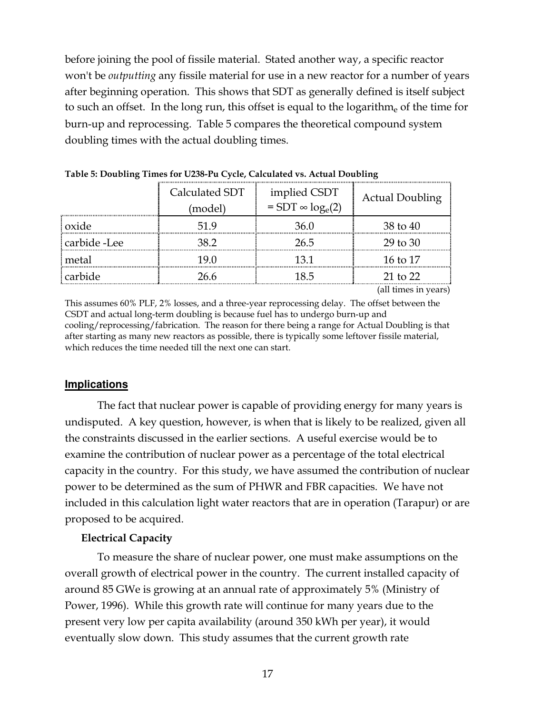before joining the pool of fissile material. Stated another way, a specific reactor won't be outputting any fissile material for use in a new reactor for a number of years after beginning operation. This shows that SDT as generally defined is itself subject to such an offset. In the long run, this offset is equal to the logarithm<sub>e</sub> of the time for burn-up and reprocessing. Table 5 compares the theoretical compound system doubling times with the actual doubling times.

|              | Calculated SDT<br>(model) | implied CSDT<br>$=$ SDT $\infty$ log <sub>e</sub> (2) | <b>Actual Doubling</b> |
|--------------|---------------------------|-------------------------------------------------------|------------------------|
| : oxide      |                           |                                                       | 38 to 40               |
| carbide -Lee | 38 Z                      | 26.5                                                  | 29 to 30               |
| metal        | 19 ()                     | 13 1                                                  | 16 to 17               |
| carbide      | 76 R                      |                                                       | 21 to 22               |

Table 5: Doubling Times for U238-Pu Cycle, Calculated vs. Actual Doubling

(all times in years)

This assumes 60% PLF, 2% losses, and a three-year reprocessing delay. The offset between the CSDT and actual long-term doubling is because fuel has to undergo burn-up and cooling/reprocessing/fabrication. The reason for there being a range for Actual Doubling is that after starting as many new reactors as possible, there is typically some leftover fissile material, which reduces the time needed till the next one can start.

# **Implications**

 The fact that nuclear power is capable of providing energy for many years is undisputed. A key question, however, is when that is likely to be realized, given all the constraints discussed in the earlier sections. A useful exercise would be to examine the contribution of nuclear power as a percentage of the total electrical capacity in the country. For this study, we have assumed the contribution of nuclear power to be determined as the sum of PHWR and FBR capacities. We have not included in this calculation light water reactors that are in operation (Tarapur) or are proposed to be acquired.

# Electrical Capacity

 To measure the share of nuclear power, one must make assumptions on the overall growth of electrical power in the country. The current installed capacity of around 85 GWe is growing at an annual rate of approximately 5% (Ministry of Power, 1996). While this growth rate will continue for many years due to the present very low per capita availability (around 350 kWh per year), it would eventually slow down. This study assumes that the current growth rate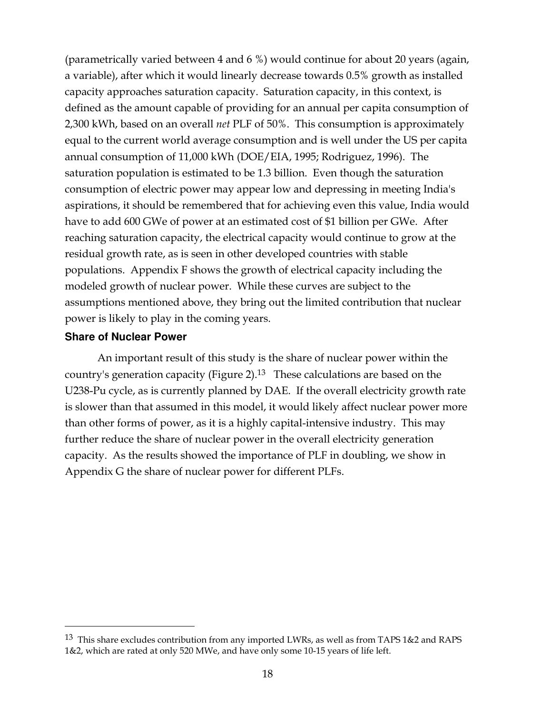(parametrically varied between 4 and 6 %) would continue for about 20 years (again, a variable), after which it would linearly decrease towards 0.5% growth as installed capacity approaches saturation capacity. Saturation capacity, in this context, is defined as the amount capable of providing for an annual per capita consumption of 2,300 kWh, based on an overall net PLF of 50%. This consumption is approximately equal to the current world average consumption and is well under the US per capita annual consumption of 11,000 kWh (DOE/EIA, 1995; Rodriguez, 1996). The saturation population is estimated to be 1.3 billion. Even though the saturation consumption of electric power may appear low and depressing in meeting India's aspirations, it should be remembered that for achieving even this value, India would have to add 600 GWe of power at an estimated cost of \$1 billion per GWe. After reaching saturation capacity, the electrical capacity would continue to grow at the residual growth rate, as is seen in other developed countries with stable populations. Appendix F shows the growth of electrical capacity including the modeled growth of nuclear power. While these curves are subject to the assumptions mentioned above, they bring out the limited contribution that nuclear power is likely to play in the coming years.

# **Share of Nuclear Power**

 $\overline{a}$ 

 An important result of this study is the share of nuclear power within the country's generation capacity (Figure 2).13 These calculations are based on the U238-Pu cycle, as is currently planned by DAE. If the overall electricity growth rate is slower than that assumed in this model, it would likely affect nuclear power more than other forms of power, as it is a highly capital-intensive industry. This may further reduce the share of nuclear power in the overall electricity generation capacity. As the results showed the importance of PLF in doubling, we show in Appendix G the share of nuclear power for different PLFs.

<sup>&</sup>lt;sup>13</sup> This share excludes contribution from any imported LWRs, as well as from TAPS 1&2 and RAPS 1&2, which are rated at only 520 MWe, and have only some 10-15 years of life left.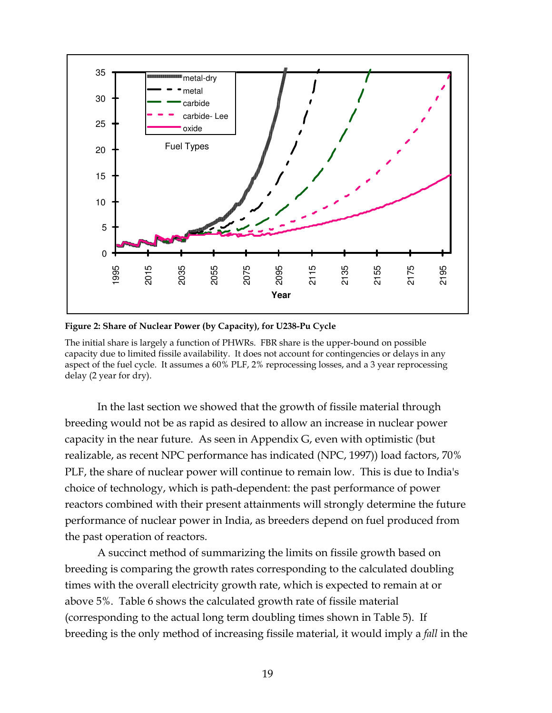

Figure 2: Share of Nuclear Power (by Capacity), for U238-Pu Cycle

The initial share is largely a function of PHWRs. FBR share is the upper-bound on possible capacity due to limited fissile availability. It does not account for contingencies or delays in any aspect of the fuel cycle. It assumes a 60% PLF, 2% reprocessing losses, and a 3 year reprocessing delay (2 year for dry).

 In the last section we showed that the growth of fissile material through breeding would not be as rapid as desired to allow an increase in nuclear power capacity in the near future. As seen in Appendix G, even with optimistic (but realizable, as recent NPC performance has indicated (NPC, 1997)) load factors, 70% PLF, the share of nuclear power will continue to remain low. This is due to India's choice of technology, which is path-dependent: the past performance of power reactors combined with their present attainments will strongly determine the future performance of nuclear power in India, as breeders depend on fuel produced from the past operation of reactors.

 A succinct method of summarizing the limits on fissile growth based on breeding is comparing the growth rates corresponding to the calculated doubling times with the overall electricity growth rate, which is expected to remain at or above 5%. Table 6 shows the calculated growth rate of fissile material (corresponding to the actual long term doubling times shown in Table 5). If breeding is the only method of increasing fissile material, it would imply a fall in the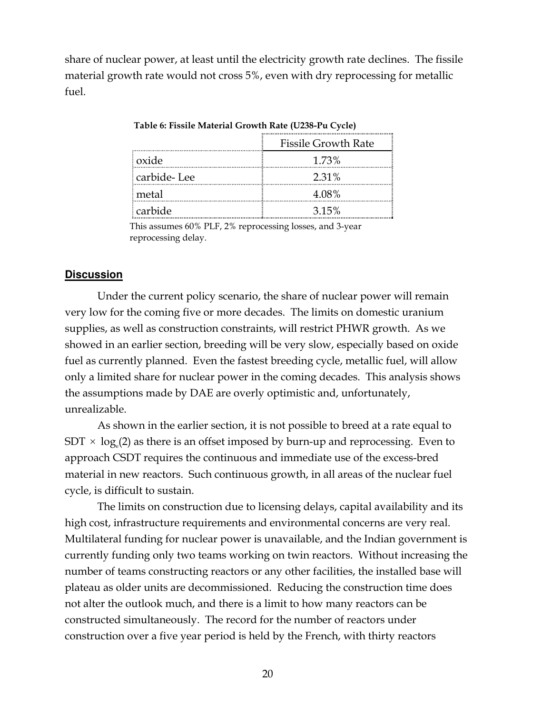share of nuclear power, at least until the electricity growth rate declines. The fissile material growth rate would not cross 5%, even with dry reprocessing for metallic  $f_{11}$  $e_{1}$ 

|             | <b>Fissile Growth Rate</b> |
|-------------|----------------------------|
| oxide       | 1.73%                      |
| carbide-Lee | 2.31%                      |
| metal       | 4.08%                      |
| carbide     | 315%                       |

Table 6: Fissile Material Growth Rate (U238-Pu Cycle)

This assumes 60% PLF, 2% reprocessing losses, and 3-year reprocessing delay.

# **Discussion**

 Under the current policy scenario, the share of nuclear power will remain very low for the coming five or more decades. The limits on domestic uranium supplies, as well as construction constraints, will restrict PHWR growth. As we showed in an earlier section, breeding will be very slow, especially based on oxide fuel as currently planned. Even the fastest breeding cycle, metallic fuel, will allow only a limited share for nuclear power in the coming decades. This analysis shows the assumptions made by DAE are overly optimistic and, unfortunately, unrealizable.

 As shown in the earlier section, it is not possible to breed at a rate equal to  $SDT \times log_e(2)$  as there is an offset imposed by burn-up and reprocessing. Even to approach CSDT requires the continuous and immediate use of the excess-bred material in new reactors. Such continuous growth, in all areas of the nuclear fuel cycle, is difficult to sustain.

 The limits on construction due to licensing delays, capital availability and its high cost, infrastructure requirements and environmental concerns are very real. Multilateral funding for nuclear power is unavailable, and the Indian government is currently funding only two teams working on twin reactors. Without increasing the number of teams constructing reactors or any other facilities, the installed base will plateau as older units are decommissioned. Reducing the construction time does not alter the outlook much, and there is a limit to how many reactors can be constructed simultaneously. The record for the number of reactors under construction over a five year period is held by the French, with thirty reactors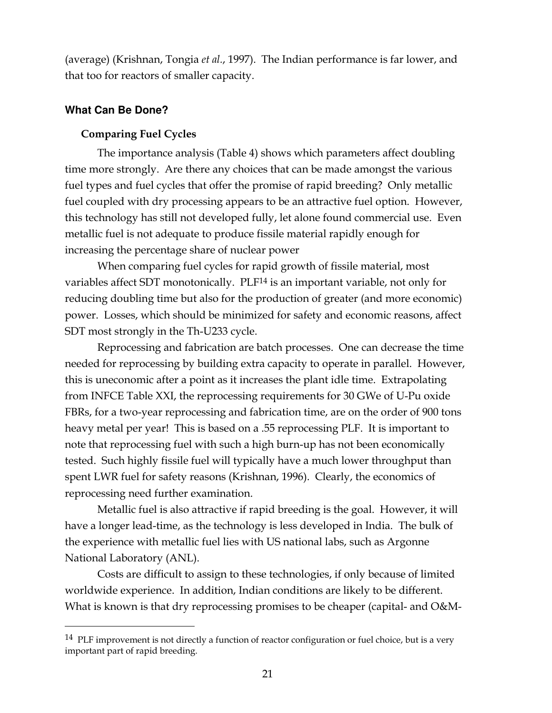(average) (Krishnan, Tongia et al., 1997). The Indian performance is far lower, and that too for reactors of smaller capacity.

# **What Can Be Done?**

 $\overline{a}$ 

# Comparing Fuel Cycles

 The importance analysis (Table 4) shows which parameters affect doubling time more strongly. Are there any choices that can be made amongst the various fuel types and fuel cycles that offer the promise of rapid breeding? Only metallic fuel coupled with dry processing appears to be an attractive fuel option. However, this technology has still not developed fully, let alone found commercial use. Even metallic fuel is not adequate to produce fissile material rapidly enough for increasing the percentage share of nuclear power

 When comparing fuel cycles for rapid growth of fissile material, most variables affect SDT monotonically. PLF14 is an important variable, not only for reducing doubling time but also for the production of greater (and more economic) power. Losses, which should be minimized for safety and economic reasons, affect SDT most strongly in the Th-U233 cycle.

 Reprocessing and fabrication are batch processes. One can decrease the time needed for reprocessing by building extra capacity to operate in parallel. However, this is uneconomic after a point as it increases the plant idle time. Extrapolating from INFCE Table XXI, the reprocessing requirements for 30 GWe of U-Pu oxide FBRs, for a two-year reprocessing and fabrication time, are on the order of 900 tons heavy metal per year! This is based on a .55 reprocessing PLF. It is important to note that reprocessing fuel with such a high burn-up has not been economically tested. Such highly fissile fuel will typically have a much lower throughput than spent LWR fuel for safety reasons (Krishnan, 1996). Clearly, the economics of reprocessing need further examination.

 Metallic fuel is also attractive if rapid breeding is the goal. However, it will have a longer lead-time, as the technology is less developed in India. The bulk of the experience with metallic fuel lies with US national labs, such as Argonne National Laboratory (ANL).

 Costs are difficult to assign to these technologies, if only because of limited worldwide experience. In addition, Indian conditions are likely to be different. What is known is that dry reprocessing promises to be cheaper (capital- and O&M-

<sup>&</sup>lt;sup>14</sup> PLF improvement is not directly a function of reactor configuration or fuel choice, but is a very important part of rapid breeding.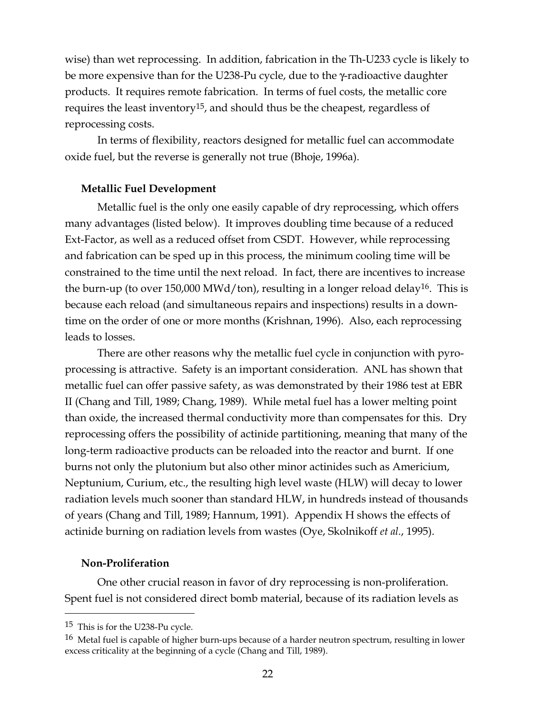wise) than wet reprocessing. In addition, fabrication in the Th-U233 cycle is likely to be more expensive than for the U238-Pu cycle, due to the γ-radioactive daughter products. It requires remote fabrication. In terms of fuel costs, the metallic core requires the least inventory15, and should thus be the cheapest, regardless of reprocessing costs.

 In terms of flexibility, reactors designed for metallic fuel can accommodate oxide fuel, but the reverse is generally not true (Bhoje, 1996a).

# Metallic Fuel Development

 Metallic fuel is the only one easily capable of dry reprocessing, which offers many advantages (listed below). It improves doubling time because of a reduced Ext-Factor, as well as a reduced offset from CSDT. However, while reprocessing and fabrication can be sped up in this process, the minimum cooling time will be constrained to the time until the next reload. In fact, there are incentives to increase the burn-up (to over 150,000 MWd/ton), resulting in a longer reload delay<sup>16</sup>. This is because each reload (and simultaneous repairs and inspections) results in a downtime on the order of one or more months (Krishnan, 1996). Also, each reprocessing leads to losses.

 There are other reasons why the metallic fuel cycle in conjunction with pyroprocessing is attractive. Safety is an important consideration. ANL has shown that metallic fuel can offer passive safety, as was demonstrated by their 1986 test at EBR II (Chang and Till, 1989; Chang, 1989). While metal fuel has a lower melting point than oxide, the increased thermal conductivity more than compensates for this. Dry reprocessing offers the possibility of actinide partitioning, meaning that many of the long-term radioactive products can be reloaded into the reactor and burnt. If one burns not only the plutonium but also other minor actinides such as Americium, Neptunium, Curium, etc., the resulting high level waste (HLW) will decay to lower radiation levels much sooner than standard HLW, in hundreds instead of thousands of years (Chang and Till, 1989; Hannum, 1991). Appendix H shows the effects of actinide burning on radiation levels from wastes (Oye, Skolnikoff et al., 1995).

#### Non-Proliferation

 One other crucial reason in favor of dry reprocessing is non-proliferation. Spent fuel is not considered direct bomb material, because of its radiation levels as

<sup>15</sup> This is for the U238-Pu cycle.

<sup>&</sup>lt;sup>16</sup> Metal fuel is capable of higher burn-ups because of a harder neutron spectrum, resulting in lower excess criticality at the beginning of a cycle (Chang and Till, 1989).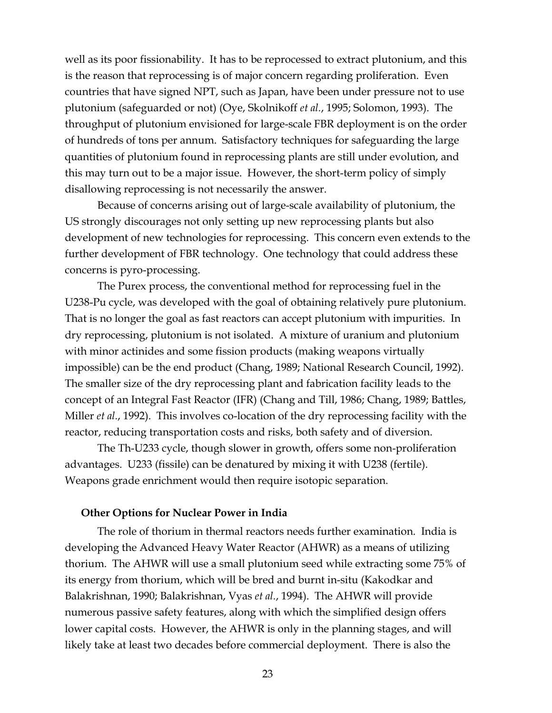well as its poor fissionability. It has to be reprocessed to extract plutonium, and this is the reason that reprocessing is of major concern regarding proliferation. Even countries that have signed NPT, such as Japan, have been under pressure not to use plutonium (safeguarded or not) (Oye, Skolnikoff et al., 1995; Solomon, 1993). The throughput of plutonium envisioned for large-scale FBR deployment is on the order of hundreds of tons per annum. Satisfactory techniques for safeguarding the large quantities of plutonium found in reprocessing plants are still under evolution, and this may turn out to be a major issue. However, the short-term policy of simply disallowing reprocessing is not necessarily the answer.

 Because of concerns arising out of large-scale availability of plutonium, the US strongly discourages not only setting up new reprocessing plants but also development of new technologies for reprocessing. This concern even extends to the further development of FBR technology. One technology that could address these concerns is pyro-processing.

 The Purex process, the conventional method for reprocessing fuel in the U238-Pu cycle, was developed with the goal of obtaining relatively pure plutonium. That is no longer the goal as fast reactors can accept plutonium with impurities. In dry reprocessing, plutonium is not isolated. A mixture of uranium and plutonium with minor actinides and some fission products (making weapons virtually impossible) can be the end product (Chang, 1989; National Research Council, 1992). The smaller size of the dry reprocessing plant and fabrication facility leads to the concept of an Integral Fast Reactor (IFR) (Chang and Till, 1986; Chang, 1989; Battles, Miller et al., 1992). This involves co-location of the dry reprocessing facility with the reactor, reducing transportation costs and risks, both safety and of diversion.

 The Th-U233 cycle, though slower in growth, offers some non-proliferation advantages. U233 (fissile) can be denatured by mixing it with U238 (fertile). Weapons grade enrichment would then require isotopic separation.

#### Other Options for Nuclear Power in India

 The role of thorium in thermal reactors needs further examination. India is developing the Advanced Heavy Water Reactor (AHWR) as a means of utilizing thorium. The AHWR will use a small plutonium seed while extracting some 75% of its energy from thorium, which will be bred and burnt in-situ (Kakodkar and Balakrishnan, 1990; Balakrishnan, Vyas et al., 1994). The AHWR will provide numerous passive safety features, along with which the simplified design offers lower capital costs. However, the AHWR is only in the planning stages, and will likely take at least two decades before commercial deployment. There is also the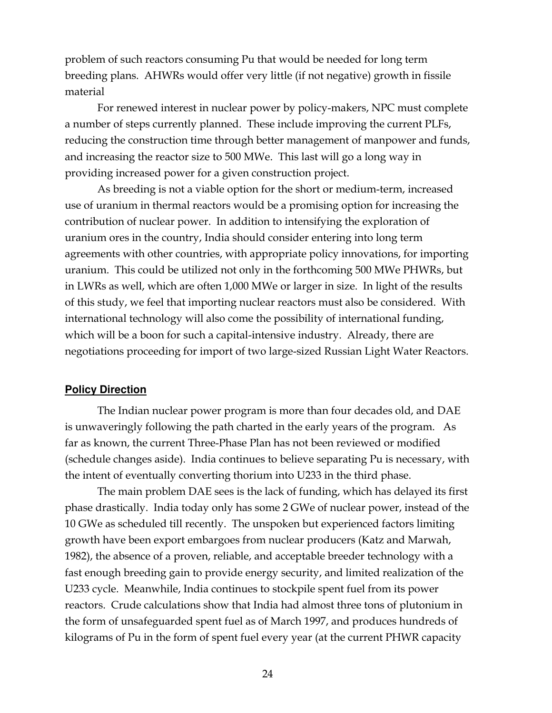problem of such reactors consuming Pu that would be needed for long term breeding plans. AHWRs would offer very little (if not negative) growth in fissile material

 For renewed interest in nuclear power by policy-makers, NPC must complete a number of steps currently planned. These include improving the current PLFs, reducing the construction time through better management of manpower and funds, and increasing the reactor size to 500 MWe. This last will go a long way in providing increased power for a given construction project.

 As breeding is not a viable option for the short or medium-term, increased use of uranium in thermal reactors would be a promising option for increasing the contribution of nuclear power. In addition to intensifying the exploration of uranium ores in the country, India should consider entering into long term agreements with other countries, with appropriate policy innovations, for importing uranium. This could be utilized not only in the forthcoming 500 MWe PHWRs, but in LWRs as well, which are often 1,000 MWe or larger in size. In light of the results of this study, we feel that importing nuclear reactors must also be considered. With international technology will also come the possibility of international funding, which will be a boon for such a capital-intensive industry. Already, there are negotiations proceeding for import of two large-sized Russian Light Water Reactors.

# **Policy Direction**

 The Indian nuclear power program is more than four decades old, and DAE is unwaveringly following the path charted in the early years of the program. As far as known, the current Three-Phase Plan has not been reviewed or modified (schedule changes aside). India continues to believe separating Pu is necessary, with the intent of eventually converting thorium into U233 in the third phase.

 The main problem DAE sees is the lack of funding, which has delayed its first phase drastically. India today only has some 2 GWe of nuclear power, instead of the 10 GWe as scheduled till recently. The unspoken but experienced factors limiting growth have been export embargoes from nuclear producers (Katz and Marwah, 1982), the absence of a proven, reliable, and acceptable breeder technology with a fast enough breeding gain to provide energy security, and limited realization of the U233 cycle. Meanwhile, India continues to stockpile spent fuel from its power reactors. Crude calculations show that India had almost three tons of plutonium in the form of unsafeguarded spent fuel as of March 1997, and produces hundreds of kilograms of Pu in the form of spent fuel every year (at the current PHWR capacity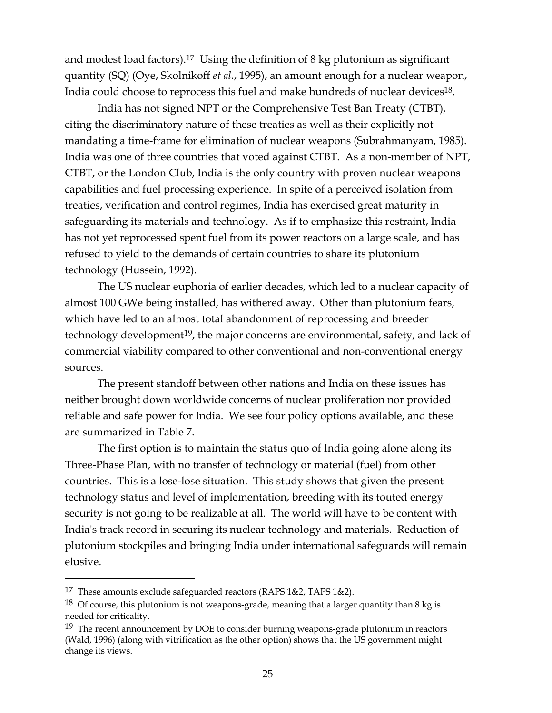and modest load factors).17 Using the definition of 8 kg plutonium as significant quantity (SQ) (Oye, Skolnikoff et al., 1995), an amount enough for a nuclear weapon, India could choose to reprocess this fuel and make hundreds of nuclear devices<sup>18</sup>.

 India has not signed NPT or the Comprehensive Test Ban Treaty (CTBT), citing the discriminatory nature of these treaties as well as their explicitly not mandating a time-frame for elimination of nuclear weapons (Subrahmanyam, 1985). India was one of three countries that voted against CTBT. As a non-member of NPT, CTBT, or the London Club, India is the only country with proven nuclear weapons capabilities and fuel processing experience. In spite of a perceived isolation from treaties, verification and control regimes, India has exercised great maturity in safeguarding its materials and technology. As if to emphasize this restraint, India has not yet reprocessed spent fuel from its power reactors on a large scale, and has refused to yield to the demands of certain countries to share its plutonium technology (Hussein, 1992).

 The US nuclear euphoria of earlier decades, which led to a nuclear capacity of almost 100 GWe being installed, has withered away. Other than plutonium fears, which have led to an almost total abandonment of reprocessing and breeder technology development<sup>19</sup>, the major concerns are environmental, safety, and lack of commercial viability compared to other conventional and non-conventional energy sources.

 The present standoff between other nations and India on these issues has neither brought down worldwide concerns of nuclear proliferation nor provided reliable and safe power for India. We see four policy options available, and these are summarized in Table 7.

 The first option is to maintain the status quo of India going alone along its Three-Phase Plan, with no transfer of technology or material (fuel) from other countries. This is a lose-lose situation. This study shows that given the present technology status and level of implementation, breeding with its touted energy security is not going to be realizable at all. The world will have to be content with India's track record in securing its nuclear technology and materials. Reduction of plutonium stockpiles and bringing India under international safeguards will remain elusive.

<sup>17</sup> These amounts exclude safeguarded reactors (RAPS 1&2, TAPS 1&2).

<sup>&</sup>lt;sup>18</sup> Of course, this plutonium is not weapons-grade, meaning that a larger quantity than 8 kg is needed for criticality.

 $19$  The recent announcement by DOE to consider burning weapons-grade plutonium in reactors (Wald, 1996) (along with vitrification as the other option) shows that the US government might change its views.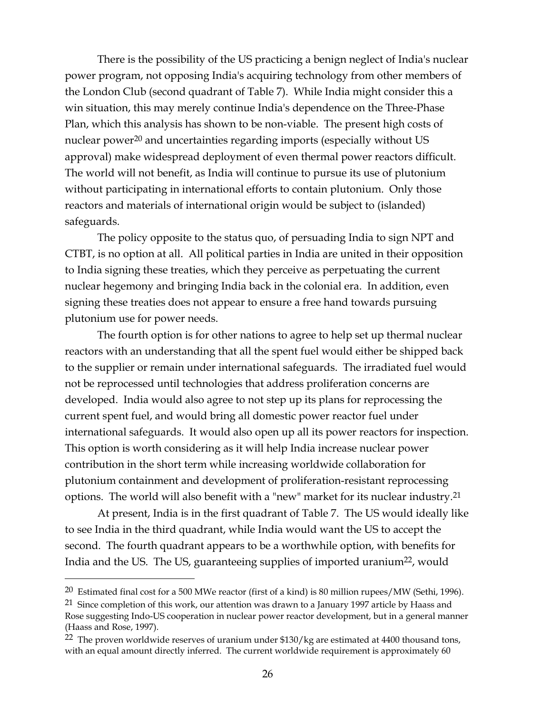There is the possibility of the US practicing a benign neglect of India's nuclear power program, not opposing India's acquiring technology from other members of the London Club (second quadrant of Table 7). While India might consider this a win situation, this may merely continue India's dependence on the Three-Phase Plan, which this analysis has shown to be non-viable. The present high costs of nuclear power<sup>20</sup> and uncertainties regarding imports (especially without US approval) make widespread deployment of even thermal power reactors difficult. The world will not benefit, as India will continue to pursue its use of plutonium without participating in international efforts to contain plutonium. Only those reactors and materials of international origin would be subject to (islanded) safeguards.

 The policy opposite to the status quo, of persuading India to sign NPT and CTBT, is no option at all. All political parties in India are united in their opposition to India signing these treaties, which they perceive as perpetuating the current nuclear hegemony and bringing India back in the colonial era. In addition, even signing these treaties does not appear to ensure a free hand towards pursuing plutonium use for power needs.

 The fourth option is for other nations to agree to help set up thermal nuclear reactors with an understanding that all the spent fuel would either be shipped back to the supplier or remain under international safeguards. The irradiated fuel would not be reprocessed until technologies that address proliferation concerns are developed. India would also agree to not step up its plans for reprocessing the current spent fuel, and would bring all domestic power reactor fuel under international safeguards. It would also open up all its power reactors for inspection. This option is worth considering as it will help India increase nuclear power contribution in the short term while increasing worldwide collaboration for plutonium containment and development of proliferation-resistant reprocessing options. The world will also benefit with a "new" market for its nuclear industry.21

 At present, India is in the first quadrant of Table 7. The US would ideally like to see India in the third quadrant, while India would want the US to accept the second. The fourth quadrant appears to be a worthwhile option, with benefits for India and the US. The US, guaranteeing supplies of imported uranium<sup>22</sup>, would

<sup>&</sup>lt;sup>20</sup> Estimated final cost for a 500 MWe reactor (first of a kind) is 80 million rupees/MW (Sethi, 1996).

<sup>&</sup>lt;sup>21</sup> Since completion of this work, our attention was drawn to a January 1997 article by Haass and Rose suggesting Indo-US cooperation in nuclear power reactor development, but in a general manner (Haass and Rose, 1997).

<sup>&</sup>lt;sup>22</sup> The proven worldwide reserves of uranium under \$130/kg are estimated at 4400 thousand tons, with an equal amount directly inferred. The current worldwide requirement is approximately 60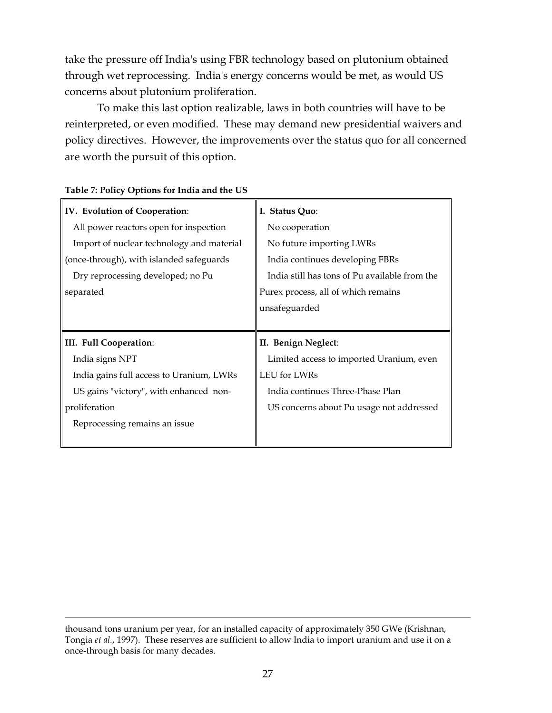take the pressure off India's using FBR technology based on plutonium obtained through wet reprocessing. India's energy concerns would be met, as would US concerns about plutonium proliferation.

 To make this last option realizable, laws in both countries will have to be reinterpreted, or even modified. These may demand new presidential waivers and policy directives. However, the improvements over the status quo for all concerned are worth the pursuit of this option.

| IV. Evolution of Cooperation:             | I. Status Quo:                                |
|-------------------------------------------|-----------------------------------------------|
| All power reactors open for inspection    | No cooperation                                |
| Import of nuclear technology and material | No future importing LWRs                      |
| (once-through), with islanded safeguards  | India continues developing FBRs               |
| Dry reprocessing developed; no Pu         | India still has tons of Pu available from the |
| separated                                 | Purex process, all of which remains           |
|                                           | unsafeguarded                                 |
|                                           |                                               |
|                                           |                                               |
| III. Full Cooperation:                    | II. Benign Neglect:                           |
| India signs NPT                           | Limited access to imported Uranium, even      |
| India gains full access to Uranium, LWRs  | LEU for LWRs                                  |
| US gains "victory", with enhanced non-    | India continues Three-Phase Plan              |
| proliferation                             | US concerns about Pu usage not addressed      |
| Reprocessing remains an issue             |                                               |

#### Table 7: Policy Options for India and the US

thousand tons uranium per year, for an installed capacity of approximately 350 GWe (Krishnan, Tongia et al., 1997). These reserves are sufficient to allow India to import uranium and use it on a once-through basis for many decades.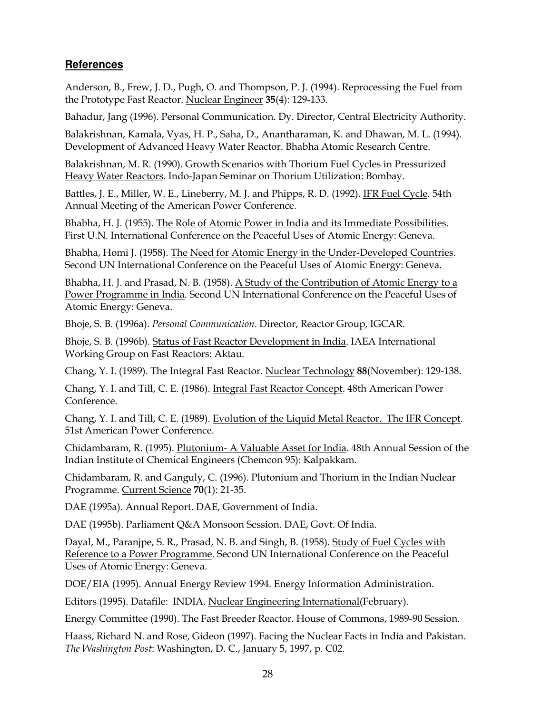# **References**

Anderson, B., Frew, J. D., Pugh, O. and Thompson, P. J. (1994). Reprocessing the Fuel from the Prototype Fast Reactor. Nuclear Engineer 35(4): 129-133.

Bahadur, Jang (1996). Personal Communication. Dy. Director, Central Electricity Authority.

Balakrishnan, Kamala, Vyas, H. P., Saha, D., Anantharaman, K. and Dhawan, M. L. (1994). Development of Advanced Heavy Water Reactor. Bhabha Atomic Research Centre.

Balakrishnan, M. R. (1990). Growth Scenarios with Thorium Fuel Cycles in Pressurized Heavy Water Reactors. Indo-Japan Seminar on Thorium Utilization: Bombay.

Battles, J. E., Miller, W. E., Lineberry, M. J. and Phipps, R. D. (1992). IFR Fuel Cycle. 54th Annual Meeting of the American Power Conference.

Bhabha, H. J. (1955). The Role of Atomic Power in India and its Immediate Possibilities. First U.N. International Conference on the Peaceful Uses of Atomic Energy: Geneva.

Bhabha, Homi J. (1958). The Need for Atomic Energy in the Under-Developed Countries. Second UN International Conference on the Peaceful Uses of Atomic Energy: Geneva.

Bhabha, H. J. and Prasad, N. B. (1958). A Study of the Contribution of Atomic Energy to a Power Programme in India. Second UN International Conference on the Peaceful Uses of Atomic Energy: Geneva.

Bhoje, S. B. (1996a). Personal Communication. Director, Reactor Group, IGCAR.

Bhoje, S. B. (1996b). Status of Fast Reactor Development in India. IAEA International Working Group on Fast Reactors: Aktau.

Chang, Y. I. (1989). The Integral Fast Reactor. Nuclear Technology 88(November): 129-138.

Chang, Y. I. and Till, C. E. (1986). Integral Fast Reactor Concept. 48th American Power Conference.

Chang, Y. I. and Till, C. E. (1989). Evolution of the Liquid Metal Reactor. The IFR Concept. 51st American Power Conference.

Chidambaram, R. (1995). Plutonium- A Valuable Asset for India. 48th Annual Session of the Indian Institute of Chemical Engineers (Chemcon 95): Kalpakkam.

Chidambaram, R. and Ganguly, C. (1996). Plutonium and Thorium in the Indian Nuclear Programme. Current Science 70(1): 21-35.

DAE (1995a). Annual Report. DAE, Government of India.

DAE (1995b). Parliament Q&A Monsoon Session. DAE, Govt. Of India.

Dayal, M., Paranjpe, S. R., Prasad, N. B. and Singh, B. (1958). Study of Fuel Cycles with Reference to a Power Programme. Second UN International Conference on the Peaceful Uses of Atomic Energy: Geneva.

DOE/EIA (1995). Annual Energy Review 1994. Energy Information Administration.

Editors (1995). Datafile: INDIA. Nuclear Engineering International(February).

Energy Committee (1990). The Fast Breeder Reactor. House of Commons, 1989-90 Session.

Haass, Richard N. and Rose, Gideon (1997). Facing the Nuclear Facts in India and Pakistan. The Washington Post: Washington, D. C., January 5, 1997, p. C02.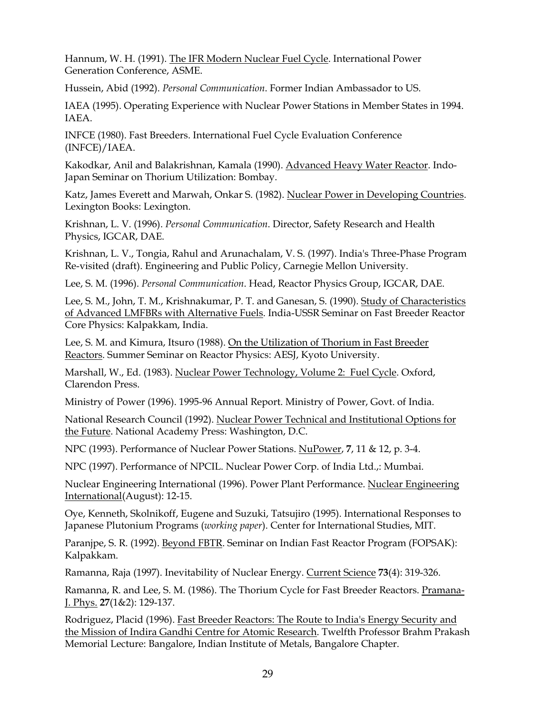Hannum, W. H. (1991). The IFR Modern Nuclear Fuel Cycle. International Power Generation Conference, ASME.

Hussein, Abid (1992). Personal Communication. Former Indian Ambassador to US.

IAEA (1995). Operating Experience with Nuclear Power Stations in Member States in 1994. IAEA.

INFCE (1980). Fast Breeders. International Fuel Cycle Evaluation Conference (INFCE)/IAEA.

Kakodkar, Anil and Balakrishnan, Kamala (1990). Advanced Heavy Water Reactor. Indo-Japan Seminar on Thorium Utilization: Bombay.

Katz, James Everett and Marwah, Onkar S. (1982). Nuclear Power in Developing Countries. Lexington Books: Lexington.

Krishnan, L. V. (1996). Personal Communication. Director, Safety Research and Health Physics, IGCAR, DAE.

Krishnan, L. V., Tongia, Rahul and Arunachalam, V. S. (1997). India's Three-Phase Program Re-visited (draft). Engineering and Public Policy, Carnegie Mellon University.

Lee, S. M. (1996). Personal Communication. Head, Reactor Physics Group, IGCAR, DAE.

Lee, S. M., John, T. M., Krishnakumar, P. T. and Ganesan, S. (1990). Study of Characteristics of Advanced LMFBRs with Alternative Fuels. India-USSR Seminar on Fast Breeder Reactor Core Physics: Kalpakkam, India.

Lee, S. M. and Kimura, Itsuro (1988). On the Utilization of Thorium in Fast Breeder Reactors. Summer Seminar on Reactor Physics: AESJ, Kyoto University.

Marshall, W., Ed. (1983). Nuclear Power Technology, Volume 2: Fuel Cycle. Oxford, Clarendon Press.

Ministry of Power (1996). 1995-96 Annual Report. Ministry of Power, Govt. of India.

National Research Council (1992). Nuclear Power Technical and Institutional Options for the Future. National Academy Press: Washington, D.C.

NPC (1993). Performance of Nuclear Power Stations. NuPower, 7, 11 & 12, p. 3-4.

NPC (1997). Performance of NPCIL. Nuclear Power Corp. of India Ltd.,: Mumbai.

Nuclear Engineering International (1996). Power Plant Performance. Nuclear Engineering International(August): 12-15.

Oye, Kenneth, Skolnikoff, Eugene and Suzuki, Tatsujiro (1995). International Responses to Japanese Plutonium Programs (working paper). Center for International Studies, MIT.

Paranjpe, S. R. (1992). Beyond FBTR. Seminar on Indian Fast Reactor Program (FOPSAK): Kalpakkam.

Ramanna, Raja (1997). Inevitability of Nuclear Energy. Current Science 73(4): 319-326.

Ramanna, R. and Lee, S. M. (1986). The Thorium Cycle for Fast Breeder Reactors. Pramana-J. Phys. 27(1&2): 129-137.

Rodriguez, Placid (1996). Fast Breeder Reactors: The Route to India's Energy Security and the Mission of Indira Gandhi Centre for Atomic Research. Twelfth Professor Brahm Prakash Memorial Lecture: Bangalore, Indian Institute of Metals, Bangalore Chapter.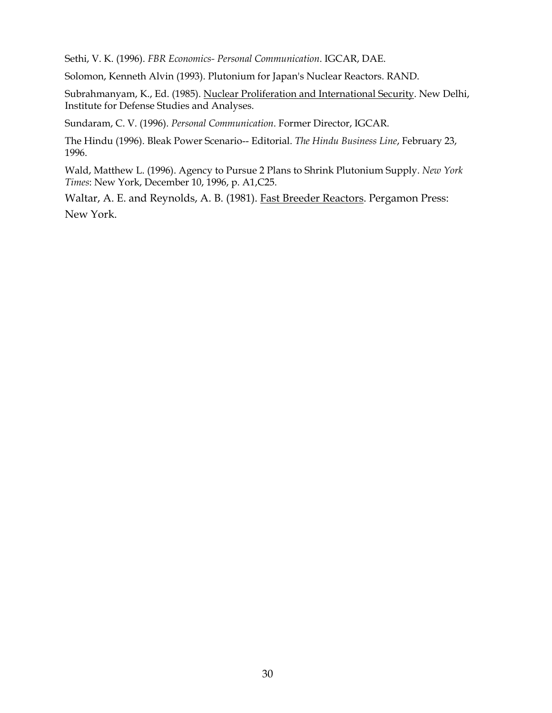Sethi, V. K. (1996). FBR Economics- Personal Communication. IGCAR, DAE.

Solomon, Kenneth Alvin (1993). Plutonium for Japan's Nuclear Reactors. RAND.

Subrahmanyam, K., Ed. (1985). Nuclear Proliferation and International Security. New Delhi, Institute for Defense Studies and Analyses.

Sundaram, C. V. (1996). Personal Communication. Former Director, IGCAR.

The Hindu (1996). Bleak Power Scenario-- Editorial. The Hindu Business Line, February 23, 1996.

Wald, Matthew L. (1996). Agency to Pursue 2 Plans to Shrink Plutonium Supply. New York Times: New York, December 10, 1996, p. A1,C25.

Waltar, A. E. and Reynolds, A. B. (1981). Fast Breeder Reactors. Pergamon Press: New York.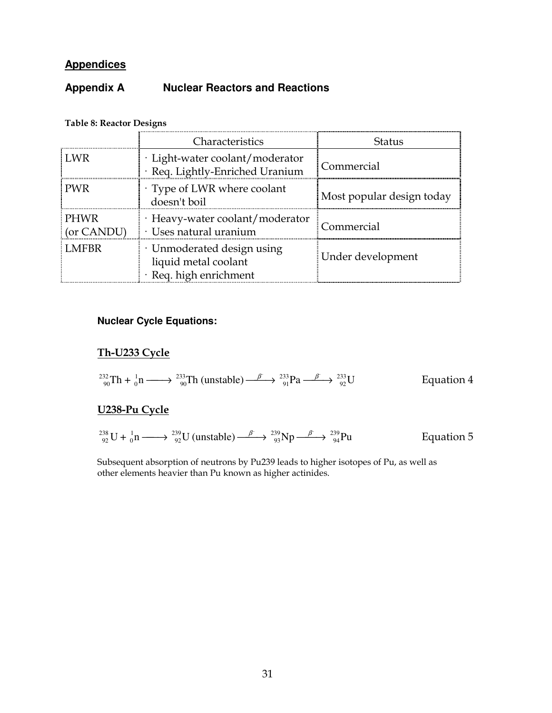# **Appendices**

# **Appendix A Nuclear Reactors and Reactions**

|                           | Characteristics                                                              | <b>Status</b>             |
|---------------------------|------------------------------------------------------------------------------|---------------------------|
| LWR.                      | · Light-water coolant/moderator<br>· Req. Lightly-Enriched Uranium           | Commercial                |
| <b>PWR</b>                | Type of LWR where coolant<br>doesn't boil                                    | Most popular design today |
| <b>PHWR</b><br>(or CANDU) | $\cdot$ Heavy-water coolant/moderator<br>$\cdot$ Uses natural uranium        | Commercial                |
| LMFBR                     | · Unmoderated design using<br>liquid metal coolant<br>· Req. high enrichment | Under development         |

# Table 8: Reactor Designs

# **Nuclear Cycle Equations:**

# Th-U233 Cycle

$$
{}_{90}^{232}\text{Th} + {}_{0}^{1}\text{n} \longrightarrow {}_{90}^{233}\text{Th (unstable)} \longrightarrow {}_{91}^{233}\text{Pa} \longrightarrow {}_{92}^{233}\text{U}
$$
 Equation 4

# U238-Pu Cycle

$$
^{238}_{92}\text{U} + ^{1}_{0}\text{n} \longrightarrow ^{239}_{92}\text{U (unstable)} \longrightarrow ^{B}_{93}\text{Np} \longrightarrow ^{239}_{94}\text{Pu}
$$
 Equation 5

Subsequent absorption of neutrons by Pu239 leads to higher isotopes of Pu, as well as other elements heavier than Pu known as higher actinides.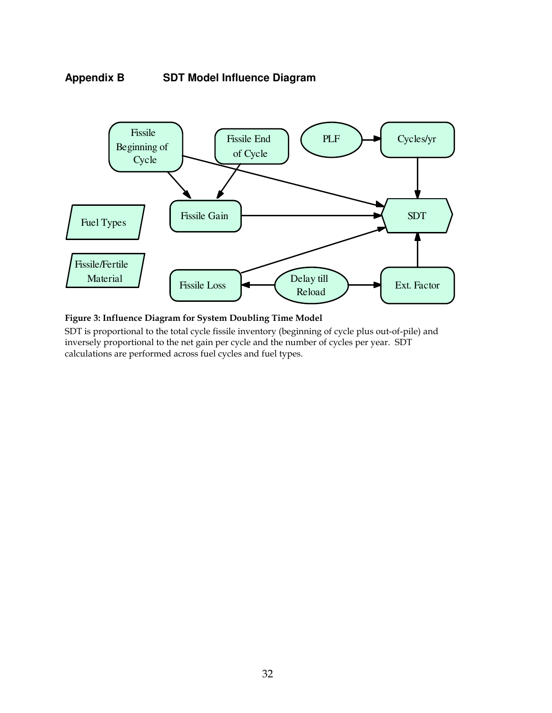



Figure 3: Influence Diagram for System Doubling Time Model

SDT is proportional to the total cycle fissile inventory (beginning of cycle plus out-of-pile) and inversely proportional to the net gain per cycle and the number of cycles per year. SDT calculations are performed across fuel cycles and fuel types.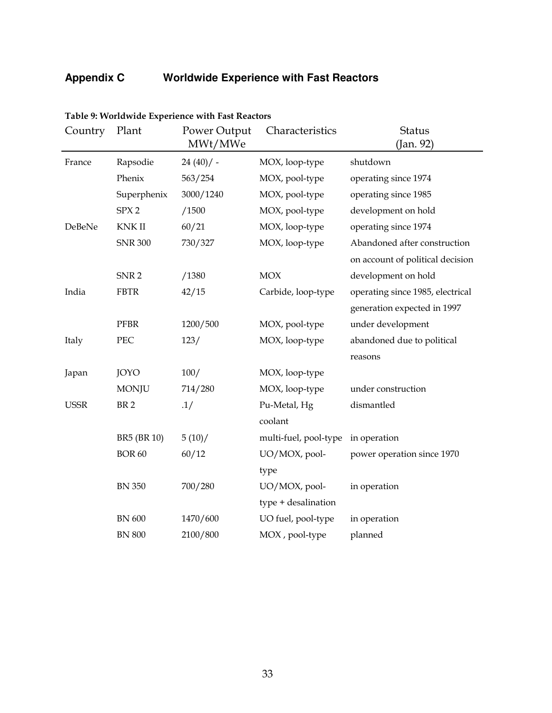# **Appendix C Worldwide Experience with Fast Reactors**

| Country     | Plant            | Power Output<br>MWt/MWe | Characteristics       | <b>Status</b><br>(Jan. 92)       |  |
|-------------|------------------|-------------------------|-----------------------|----------------------------------|--|
| France      | Rapsodie         | $24(40)/$ -             | MOX, loop-type        | shutdown                         |  |
|             | Phenix           | 563/254                 | MOX, pool-type        | operating since 1974             |  |
|             | Superphenix      | 3000/1240               | MOX, pool-type        | operating since 1985             |  |
|             | SPX <sub>2</sub> | /1500                   | MOX, pool-type        | development on hold              |  |
| DeBeNe      | <b>KNKII</b>     | 60/21                   | MOX, loop-type        | operating since 1974             |  |
|             | <b>SNR 300</b>   | 730/327                 | MOX, loop-type        | Abandoned after construction     |  |
|             |                  |                         |                       | on account of political decision |  |
|             | SNR <sub>2</sub> | /1380                   | <b>MOX</b>            | development on hold              |  |
| India       | <b>FBTR</b>      | 42/15                   | Carbide, loop-type    | operating since 1985, electrical |  |
|             |                  |                         |                       | generation expected in 1997      |  |
|             | <b>PFBR</b>      | 1200/500                | MOX, pool-type        | under development                |  |
| Italy       | PEC              | 123/                    | MOX, loop-type        | abandoned due to political       |  |
|             |                  |                         |                       | reasons                          |  |
| Japan       | <b>JOYO</b>      | 100/                    | MOX, loop-type        |                                  |  |
|             | <b>MONJU</b>     | 714/280                 | MOX, loop-type        | under construction               |  |
| <b>USSR</b> | BR <sub>2</sub>  | .1/                     | Pu-Metal, Hg          | dismantled                       |  |
|             |                  |                         | coolant               |                                  |  |
|             | BR5 (BR 10)      | 5(10)/                  | multi-fuel, pool-type | in operation                     |  |
|             | <b>BOR 60</b>    | 60/12                   | UO/MOX, pool-         | power operation since 1970       |  |
|             |                  |                         | type                  |                                  |  |
|             | <b>BN 350</b>    | 700/280                 | UO/MOX, pool-         | in operation                     |  |
|             |                  |                         | type + desalination   |                                  |  |
|             | <b>BN</b> 600    | 1470/600                | UO fuel, pool-type    | in operation                     |  |
|             | <b>BN 800</b>    | 2100/800                | MOX, pool-type        | planned                          |  |

#### Table 9: Worldwide Experience with Fast Reactors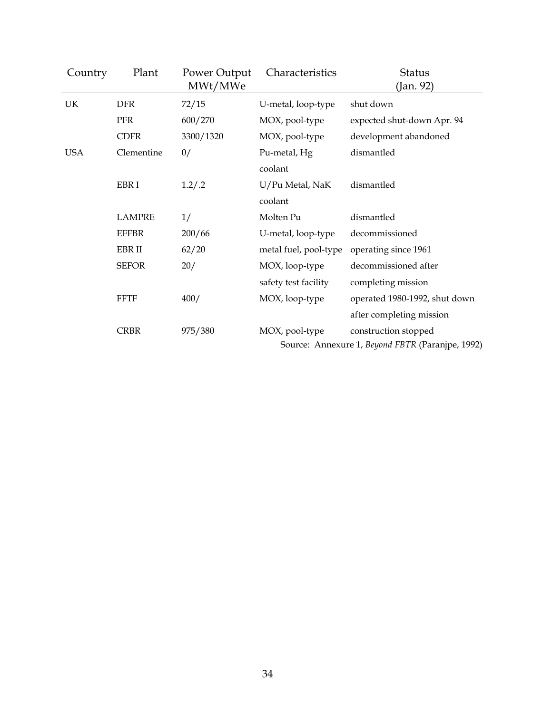| Country    | Plant         | Power Output<br>MWt/MWe | Characteristics                                  | <b>Status</b><br>(Jan. 92)    |  |
|------------|---------------|-------------------------|--------------------------------------------------|-------------------------------|--|
| UK         | <b>DFR</b>    | 72/15                   | U-metal, loop-type                               | shut down                     |  |
|            | <b>PFR</b>    | 600/270                 | MOX, pool-type                                   | expected shut-down Apr. 94    |  |
|            | <b>CDFR</b>   | 3300/1320               | MOX, pool-type                                   | development abandoned         |  |
| <b>USA</b> | Clementine    | 0/                      | Pu-metal, Hg                                     | dismantled                    |  |
|            |               |                         | coolant                                          |                               |  |
|            | EBR I         | 1.2/.2                  | U/Pu Metal, NaK                                  | dismantled                    |  |
|            |               |                         | coolant                                          |                               |  |
|            | <b>LAMPRE</b> | 1/                      | Molten Pu                                        | dismantled                    |  |
|            | <b>EFFBR</b>  | 200/66                  | U-metal, loop-type                               | decommissioned                |  |
|            | EBR II        | 62/20                   | metal fuel, pool-type                            | operating since 1961          |  |
|            | <b>SEFOR</b>  | 20/                     | MOX, loop-type                                   | decommissioned after          |  |
|            |               |                         | safety test facility                             | completing mission            |  |
|            | <b>FFTF</b>   | 400/                    | MOX, loop-type                                   | operated 1980-1992, shut down |  |
|            |               |                         |                                                  | after completing mission      |  |
|            | <b>CRBR</b>   | 975/380                 | MOX, pool-type                                   | construction stopped          |  |
|            |               |                         | Source: Annexure 1, Beyond FBTR (Paranjpe, 1992) |                               |  |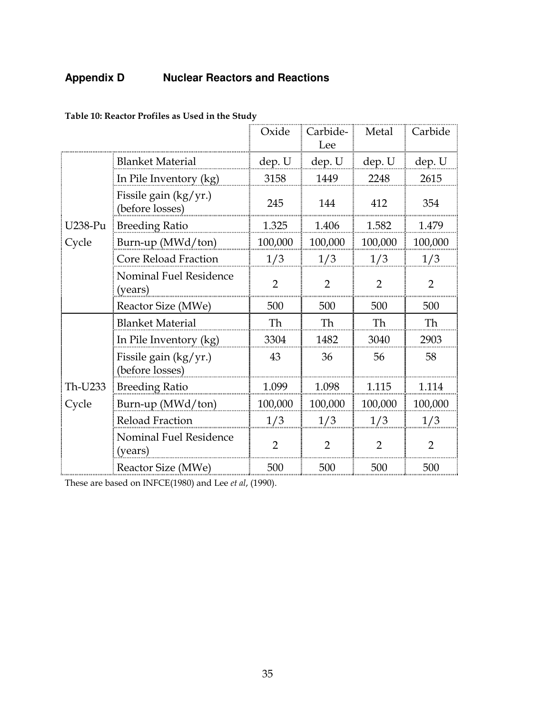# **Appendix D Nuclear Reactors and Reactions**

|         |                                            | Oxide          | Carbide-<br>Lee | Metal          | Carbide        |
|---------|--------------------------------------------|----------------|-----------------|----------------|----------------|
|         | <b>Blanket Material</b>                    | dep. U         | dep. U          | dep. U         | dep. U         |
|         | In Pile Inventory (kg)                     | 3158           | 1449            | 2248           | 2615           |
|         | Fissile gain $(kg/yr.)$<br>(before losses) | 245            | 144             | 412            | 354            |
| U238-Pu | <b>Breeding Ratio</b>                      | 1.325          | 1.406           | 1.582          | 1.479          |
| Cycle   | Burn-up (MWd/ton)                          | 100,000        | 100,000         | 100,000        | 100,000        |
|         | Core Reload Fraction                       | 1/3            | 1/3             | 1/3            | 1/3            |
|         | Nominal Fuel Residence<br>(years)          | $\overline{2}$ | $\overline{2}$  | $\overline{2}$ | $\overline{2}$ |
|         | Reactor Size (MWe)                         | 500            | 500             | 500            | 500            |
|         | <b>Blanket Material</b>                    | Th             | Th              | Th             | Th             |
|         | In Pile Inventory (kg)                     | 3304           | 1482            | 3040           | 2903           |
|         | Fissile gain (kg/yr.)<br>(before losses)   | 43             | 36              | 56             | 58             |
| Th-U233 | <b>Breeding Ratio</b>                      | 1.099          | 1.098           | 1.115          | 1.114          |
| Cycle   | Burn-up (MWd/ton)                          | 100,000        | 100,000         | 100,000        | 100,000        |
|         | Reload Fraction                            | 1/3            | 1/3             | 1/3            | 1/3            |
|         | Nominal Fuel Residence<br>(years)          | $\overline{2}$ | $\overline{2}$  | 2              | $\overline{2}$ |
|         | Reactor Size (MWe)                         | 500            | 500             | 500            | 500            |

Table 10: Reactor Profiles as Used in the Study

These are based on INFCE(1980) and Lee et al, (1990).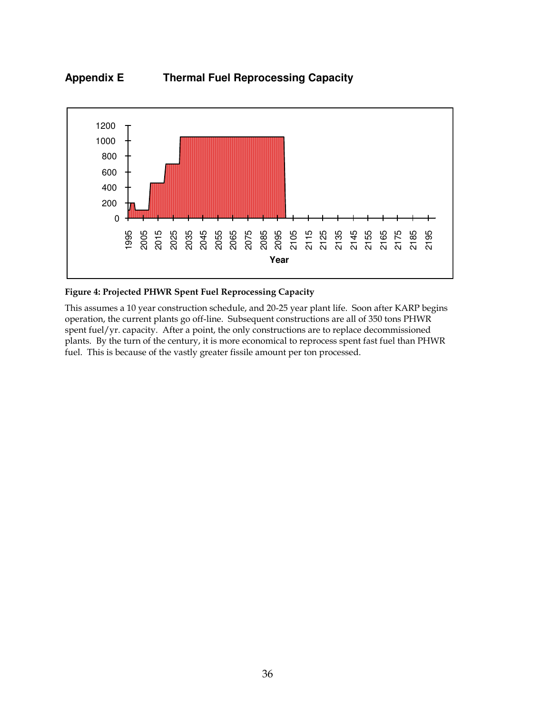



#### Figure 4: Projected PHWR Spent Fuel Reprocessing Capacity

This assumes a 10 year construction schedule, and 20-25 year plant life. Soon after KARP begins operation, the current plants go off-line. Subsequent constructions are all of 350 tons PHWR spent fuel/yr. capacity. After a point, the only constructions are to replace decommissioned plants. By the turn of the century, it is more economical to reprocess spent fast fuel than PHWR fuel. This is because of the vastly greater fissile amount per ton processed.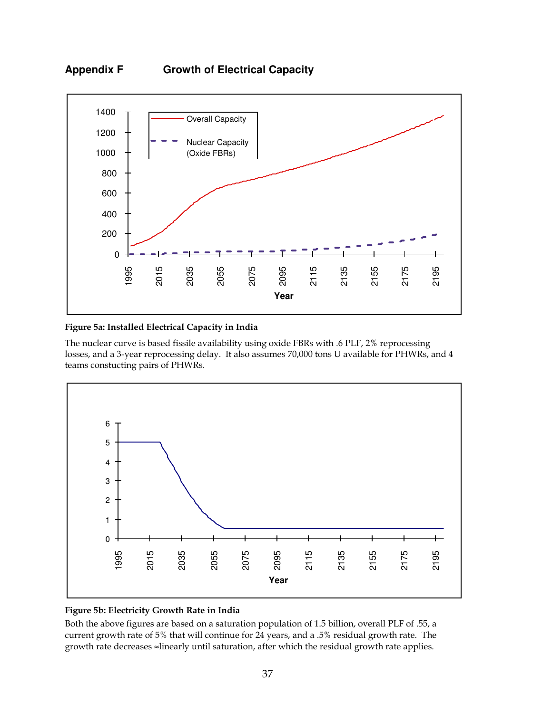



#### Figure 5a: Installed Electrical Capacity in India

The nuclear curve is based fissile availability using oxide FBRs with .6 PLF, 2% reprocessing losses, and a 3-year reprocessing delay. It also assumes 70,000 tons U available for PHWRs, and 4 teams constucting pairs of PHWRs.



#### Figure 5b: Electricity Growth Rate in India

Both the above figures are based on a saturation population of 1.5 billion, overall PLF of .55, a current growth rate of 5% that will continue for 24 years, and a .5% residual growth rate. The growth rate decreases ≈linearly until saturation, after which the residual growth rate applies.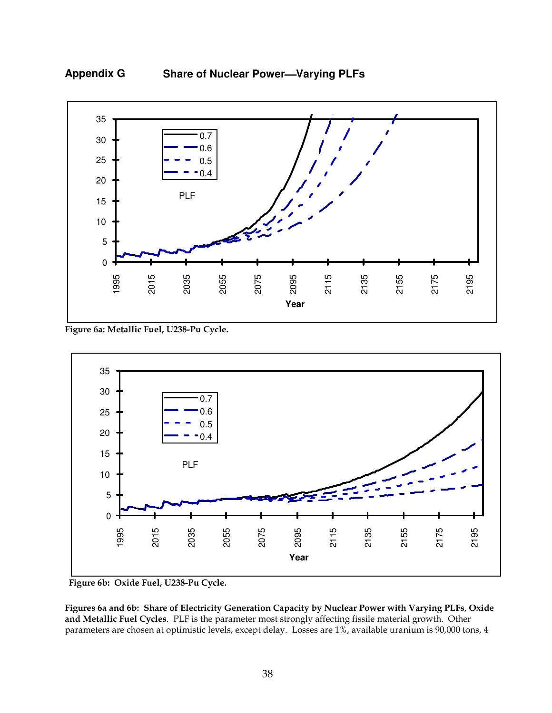

Appendix G Share of Nuclear Power—Varying PLFs

Figure 6a: Metallic Fuel, U238-Pu Cycle.



Figure 6b: Oxide Fuel, U238-Pu Cycle.

Figures 6a and 6b: Share of Electricity Generation Capacity by Nuclear Power with Varying PLFs, Oxide and Metallic Fuel Cycles. PLF is the parameter most strongly affecting fissile material growth. Other parameters are chosen at optimistic levels, except delay. Losses are 1%, available uranium is 90,000 tons, 4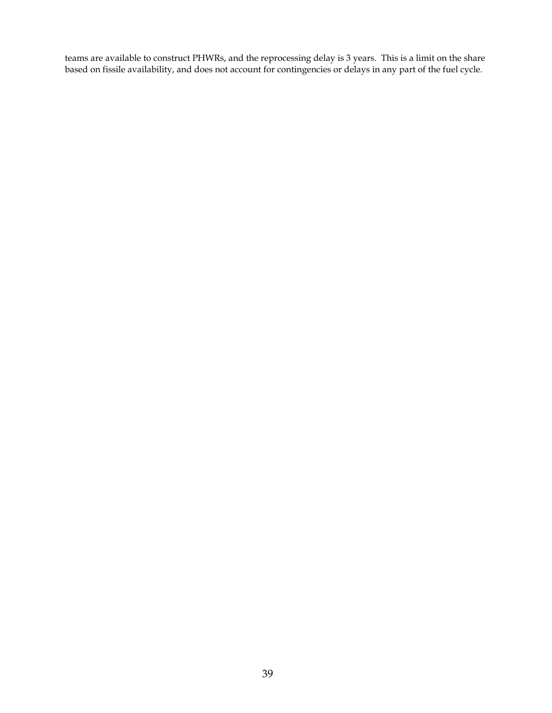teams are available to construct PHWRs, and the reprocessing delay is 3 years. This is a limit on the share based on fissile availability, and does not account for contingencies or delays in any part of the fuel cycle.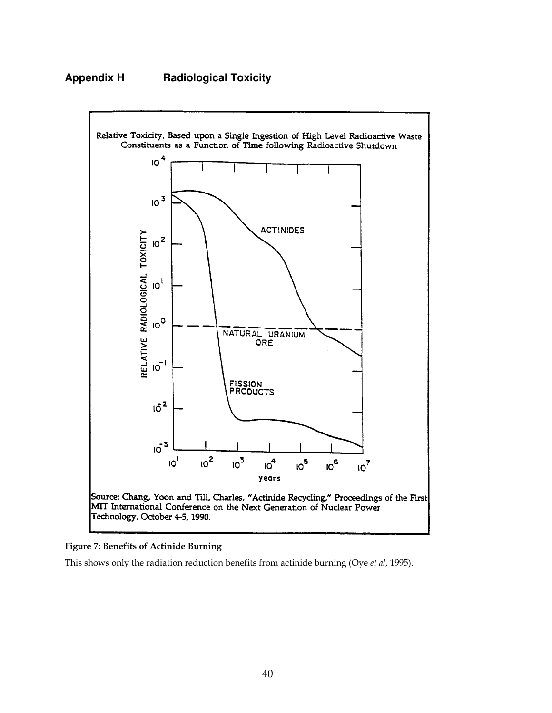# **Appendix H Radiological Toxicity**



#### $\overline{a}$ Figure 7: Benefits of Actinide Burning

This shows only the radiation reduction benefits from actinide burning (Oye et al, 1995).